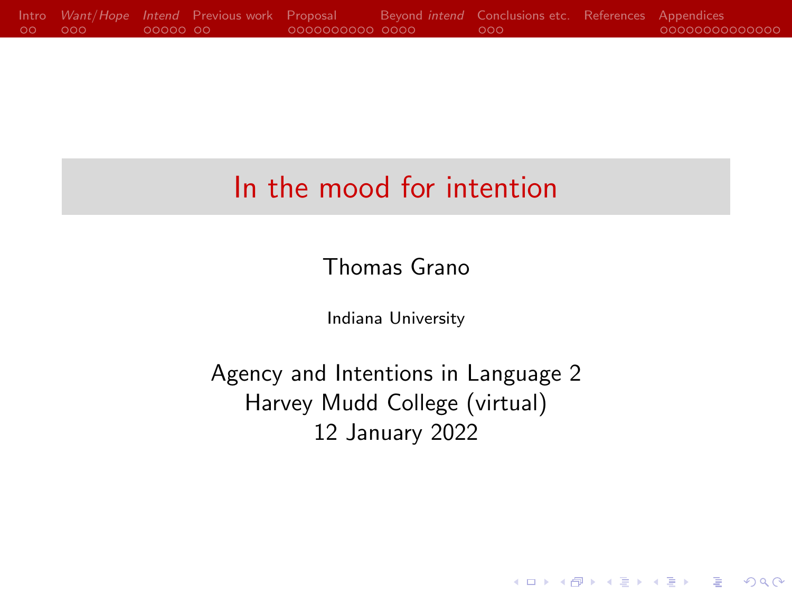## In the mood for intention

Thomas Grano

Indiana University

Agency and Intentions in Language 2 Harvey Mudd College (virtual) 12 January 2022

**KORK ERKER ADA ADA KORA**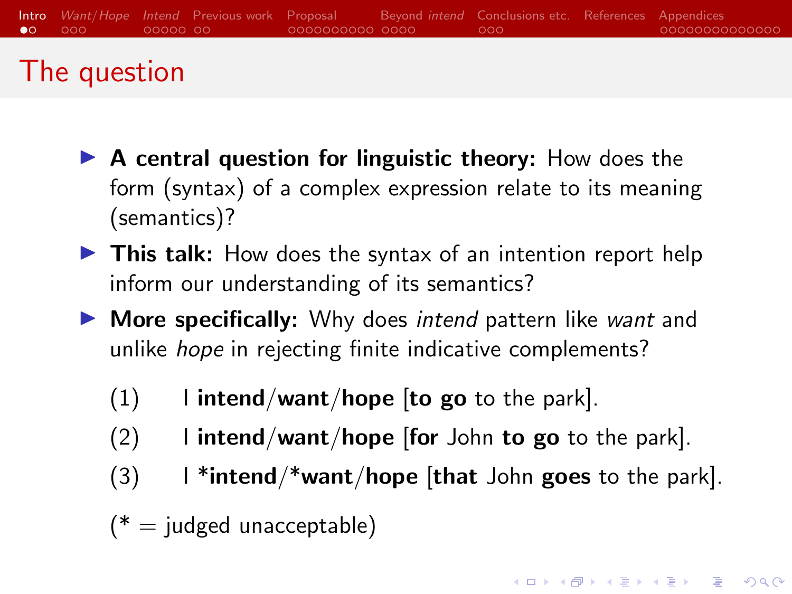## <span id="page-1-0"></span>The question

- $\triangleright$  A central question for linguistic theory: How does the form (syntax) of a complex expression relate to its meaning (semantics)?
- $\triangleright$  This talk: How does the syntax of an intention report help inform our understanding of its semantics?
- $\triangleright$  More specifically: Why does intend pattern like want and unlike hope in rejecting finite indicative complements?
	- $(1)$  I intend/want/hope [to go to the park].
	- $(2)$  I intend/want/hope [for John to go to the park].
	- $(3)$  I \*intend/\*want/hope [that John goes to the park].
	- $(*)$  = judged unacceptable)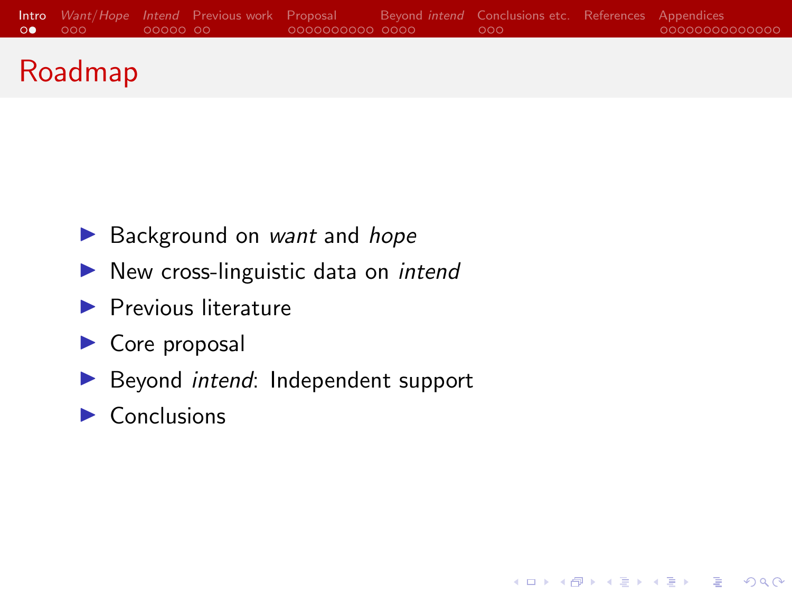

**KORK ERKER ADA ADA KORA** 

## Roadmap

- $\blacktriangleright$  Background on *want* and *hope*
- $\blacktriangleright$  New cross-linguistic data on *intend*
- $\blacktriangleright$  Previous literature
- $\triangleright$  Core proposal
- $\blacktriangleright$  Beyond *intend*: Independent support
- $\blacktriangleright$  Conclusions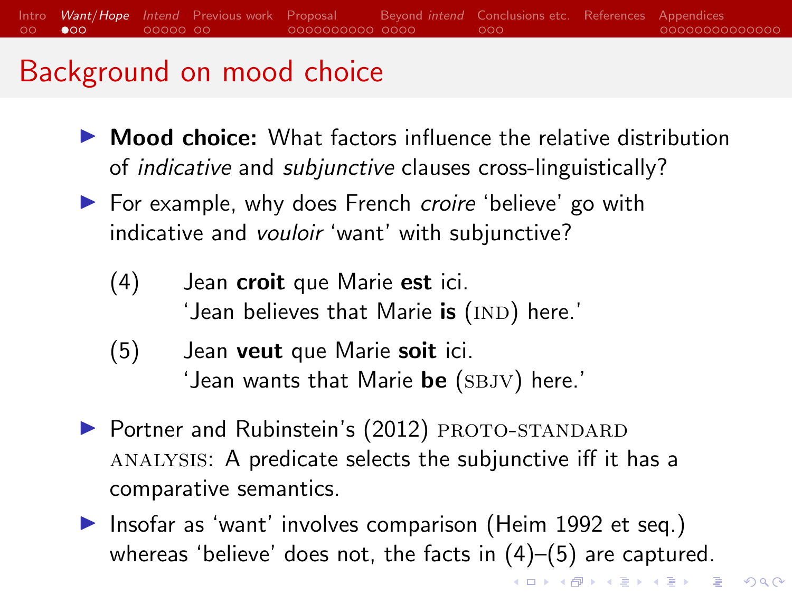#### <span id="page-3-0"></span>[Intro](#page-1-0) [Want](#page-3-0)/Hope [Intend](#page-6-0) [Previous work](#page-11-0) [Proposal](#page-13-0) [Beyond](#page-23-0) intend [Conclusions etc.](#page-27-0) [References](#page-30-0) [Appendices](#page-34-0)  $\circ$  $\bullet$ 00  $00000000$ 0000000000 0000  $000$ 00000000000000

## Background on mood choice

- $\triangleright$  **Mood choice:** What factors influence the relative distribution of indicative and subjunctive clauses cross-linguistically?
- ▶ For example, why does French croire 'believe' go with indicative and *vouloir* 'want' with subjunctive?
	- (4) Jean croit que Marie est ici. 'Jean believes that Marie **is** (IND) here.'
	- (5) Jean veut que Marie soit ici. 'Jean wants that Marie  $\bm{\mathsf{be}}$  (SBJV) here.'
- $\triangleright$  Portner and Rubinstein's [\(2012\)](#page-32-0) PROTO-STANDARD analysis: A predicate selects the subjunctive iff it has a comparative semantics.
- Insofar as 'want' involves comparison [\(Heim 1992](#page-31-0) et seq.) whereas 'believe' does not, the facts in (4)–(5) are captured.

K ロ X K 레 X K 할 X K 할 X 및 할 X 이익(N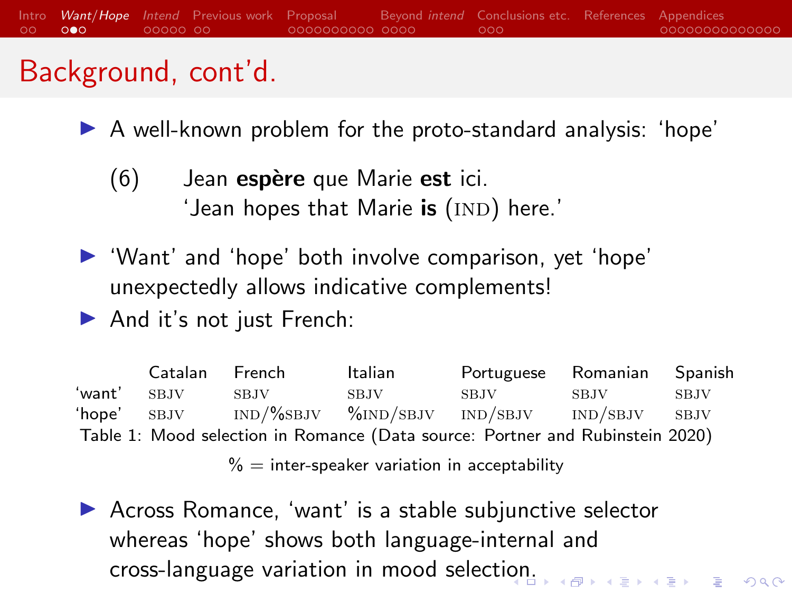## Background, cont'd.

- $\blacktriangleright$  A well-known problem for the proto-standard analysis: 'hope'
	- $(6)$  Jean espère que Marie est ici. 'Jean hopes that Marie  $\mathop{\sf is}\nolimits$  (IND) here.'
- $\blacktriangleright$  'Want' and 'hope' both involve comparison, yet 'hope' unexpectedly allows indicative complements!
- $\blacktriangleright$  And it's not just French:

Catalan French Italian Portuguese Romanian Spanish 'want' sbjv sbjv sbjv sbjv sbjv sbjv 'hope' sbjv ind/%sbjv %ind/sbjv ind/sbjv ind/sbjv sbjv Table 1: Mood selection in Romance (Data source: [Portner and Rubinstein 2020\)](#page-32-1)

 $% =$  inter-speaker variation in acceptability

 $\triangleright$  Across Romance, 'want' is a stable subjunctive selector whereas 'hope' shows both language-internal and cross-language variation in mood selecti[on](#page-3-0).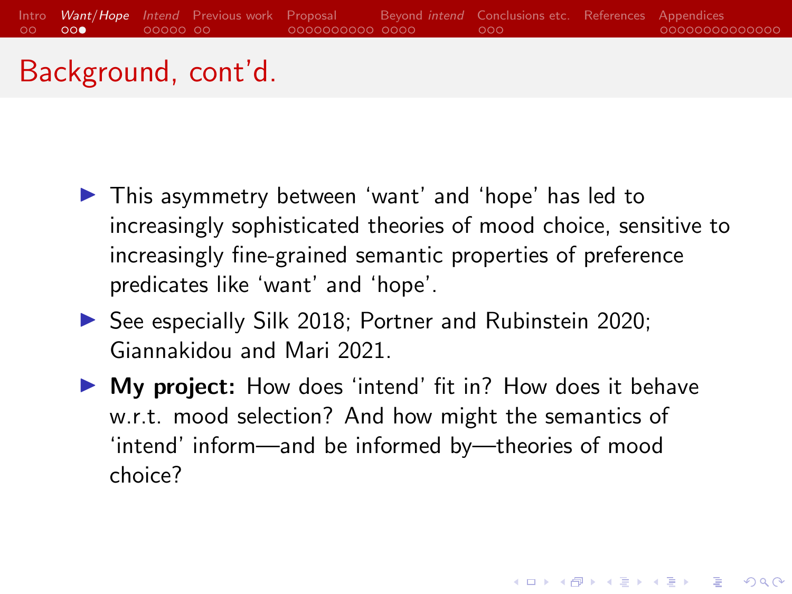

#### Background, cont'd.

- $\blacktriangleright$  This asymmetry between 'want' and 'hope' has led to increasingly sophisticated theories of mood choice, sensitive to increasingly fine-grained semantic properties of preference predicates like 'want' and 'hope'.
- $\triangleright$  See especially [Silk 2018;](#page-33-0) [Portner and Rubinstein 2020;](#page-32-1) [Giannakidou and Mari 2021.](#page-30-1)
- $\triangleright$  My project: How does 'intend' fit in? How does it behave w.r.t. mood selection? And how might the semantics of 'intend' inform—and be informed by—theories of mood choice?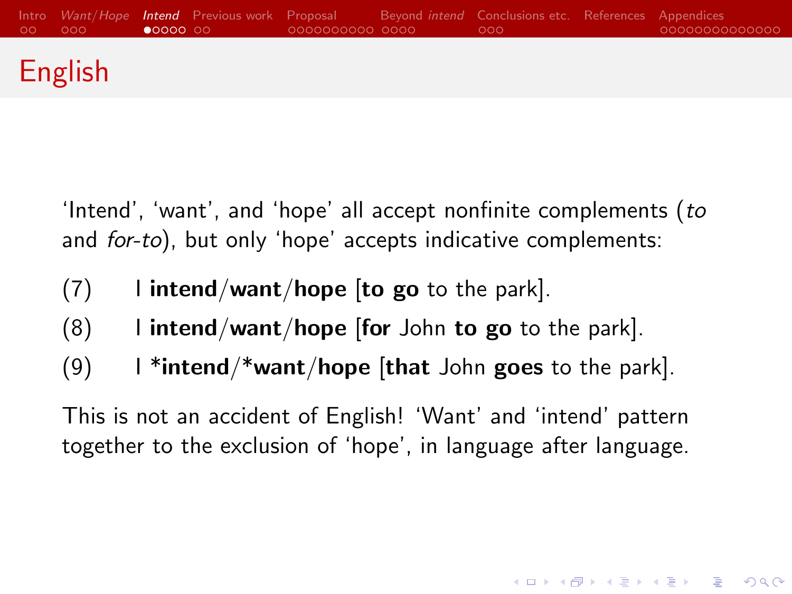<span id="page-6-0"></span>

## English

'Intend', 'want', and 'hope' all accept nonfinite complements (to and *for-to*), but only 'hope' accepts indicative complements:

- $(7)$  I intend/want/hope [to go to the park].
- $(8)$  I intend/want/hope [for John to go to the park].
- (9) I \*intend/\*want/hope [that John goes to the park].

This is not an accident of English! 'Want' and 'intend' pattern together to the exclusion of 'hope', in language after language.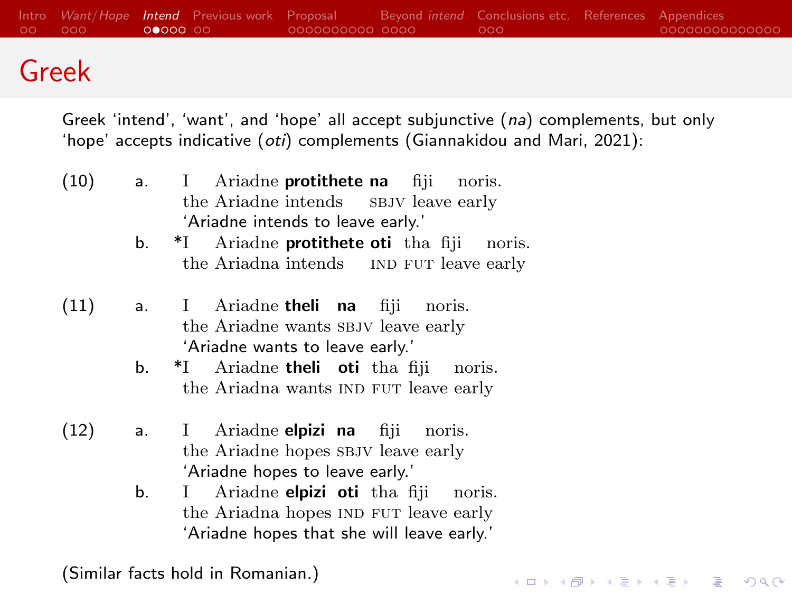[Intro](#page-1-0) *[Want](#page-3-0)/Hope* **[Intend](#page-6-0)** Previous-work [Proposal](#page-13-0) and [Beyond](#page-23-0) intend [Conclusions etc.](#page-27-0) [References](#page-30-0) [Appendices](#page-34-0) and one conclusions conclusions conclusions and conclusions and conclusions and conclusions and conclusions and con  $OO$ 

#### Greek

Greek 'intend', 'want', and 'hope' all accept subjunctive (na) complements, but only 'hope' accepts indicative (oti) complements [\(Giannakidou and Mari, 2021\)](#page-30-1):

- (10) a. I the Ariadne intends Ariadne **protithete na** fiji s BJV leave early noris. 'Ariadne intends to leave early.'
	- b. \*I the Ariadna intends IND FUT leave early Ariadne **protithete oti** tha fiji noris.
- (11) a. I the Ariadne wants SBJV leave early Ariadne theli na fiji noris. 'Ariadne wants to leave early.'
	- b. \*I the Ariadna wants IND FUT leave early Ariadne **theli** oti tha fiji noris.
- (12) a. I the Ariadne hopes SBJV leave early Ariadne **elpizi** na fiji noris. 'Ariadne hopes to leave early.'
	- b. I the Ariadna hopes IND FUT leave early Ariadne **elpizi oti** tha fiji noris. 'Ariadne hopes that she will leave early.'

**KORKARYKERKER POLO** 

(Similar facts hold in Romanian.)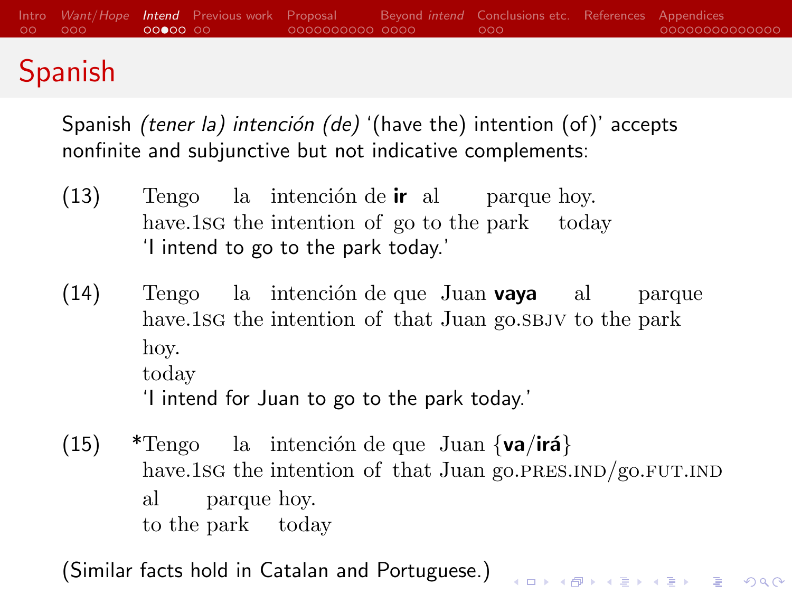#### [Intro](#page-1-0) [Want](#page-3-0)/Hope [Intend](#page-6-0) [Previous work](#page-11-0) [Proposal](#page-13-0) [Beyond](#page-23-0) intend [Conclusions etc.](#page-27-0) [References](#page-30-0) [Appendices](#page-34-0)  $\circ$  $00000000$  $000$ 00000000000000 Spanish

Spanish *(tener la)* intención *(de)* '(have the) intention (of)' accepts nonfinite and subjunctive but not indicative complements:

- (13) Tengo la intención de **ir** al parque hoy. have.1sG the intention of go to the park today 'I intend to go to the park today.'
- (14) Tengo la intención de que Juan **vaya** al have.1sg the intention of that Juan go.sbjv to the park parque hoy. today 'I intend for Juan to go to the park today.'
- (15) \*Tengo la intención de que Juan  $\{va/ira\}$ have.1sg the intention of that Juan go.PRES.IND/go.FUT.IND al to the park today parque hoy.

(Similar facts hold in Catalan and Portuguese.)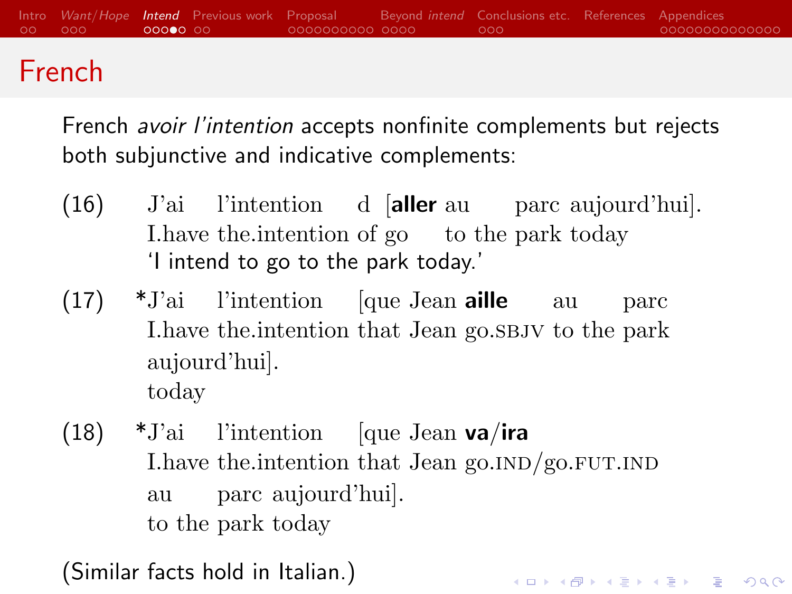

## French

French avoir l'intention accepts nonfinite complements but rejects both subjunctive and indicative complements:

- $(16)$ I.have the.intention of go to the park today l'intention d [aller au parc aujourd'hui]. 'I intend to go to the park today.'
- (17) \*J'ai l'intention [que Jean aille au I.have the.intention that Jean go.sbjv to the park parc aujourd'hui]. today
- (18) \*J'ai l'intention [que Jean va/ira I.have the intention that Jean go.IND/go.FUT.IND au to the park today parc aujourd'hui].

KID KA KERKER KID KO

(Similar facts hold in Italian.)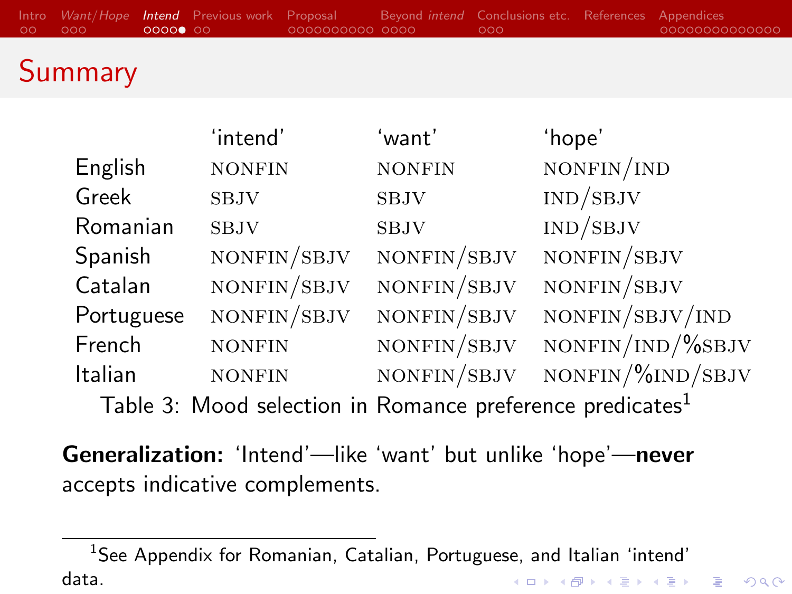# **Summary**

|                                                                       | 'intend'      | 'want'        | 'hope'                       |
|-----------------------------------------------------------------------|---------------|---------------|------------------------------|
| English                                                               | <b>NONFIN</b> | <b>NONFIN</b> | NONFIN/IND                   |
| Greek                                                                 | <b>SBJV</b>   | <b>SBJV</b>   | IND/SBJV                     |
| Romanian                                                              | <b>SBJV</b>   | <b>SBJV</b>   | $\mathrm{IND}/\mathrm{SBJV}$ |
| Spanish                                                               | NONFIN/SBJV   | NONFIN/SBJV   | NONFIN/SBJV                  |
| Catalan                                                               | NONFIN/SBJV   | NONFIN/SBJV   | NONFIN/SBJV                  |
| Portuguese                                                            | NONFIN/SBJV   | NONFIN/SBJV   | NONFIN/SBJV/IND              |
| French                                                                | <b>NONFIN</b> | NONFIN/SBJV   | NONFIN/IND/%SBJV             |
| Italian                                                               | <b>NONFIN</b> | NONFIN/SBJV   | $NONFIN/\% IND/SBJV$         |
| Table 3: Mood selection in Romance preference predicates <sup>1</sup> |               |               |                              |

Generalization: 'Intend'—like 'want' but unlike 'hope'—never accepts indicative complements.

<sup>&</sup>lt;sup>1</sup>See Appendix for Romanian, Catalian, Portuguese, and Italian 'intend' data.**KORK ERKER ADA ADA KORA**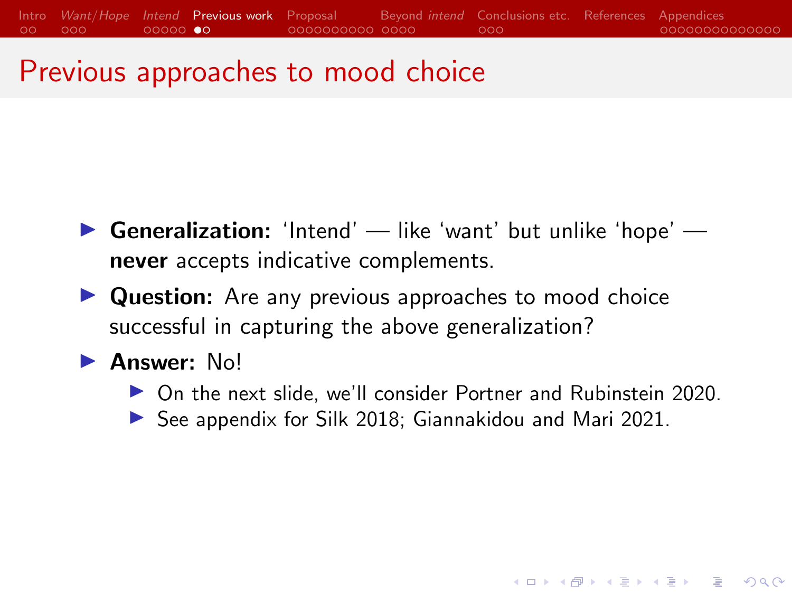## <span id="page-11-0"></span>Previous approaches to mood choice

- **Generalization:** 'Intend' like 'want' but unlike 'hope' never accepts indicative complements.
- $\triangleright$  Question: Are any previous approaches to mood choice successful in capturing the above generalization?

#### $\blacktriangleright$  Answer:  $N_o!$

▶ On the next slide, we'll consider [Portner and Rubinstein 2020.](#page-32-1)

**KORKARYKERKER POLO** 

 $\triangleright$  See appendix for [Silk 2018;](#page-33-0) [Giannakidou and Mari 2021.](#page-30-1)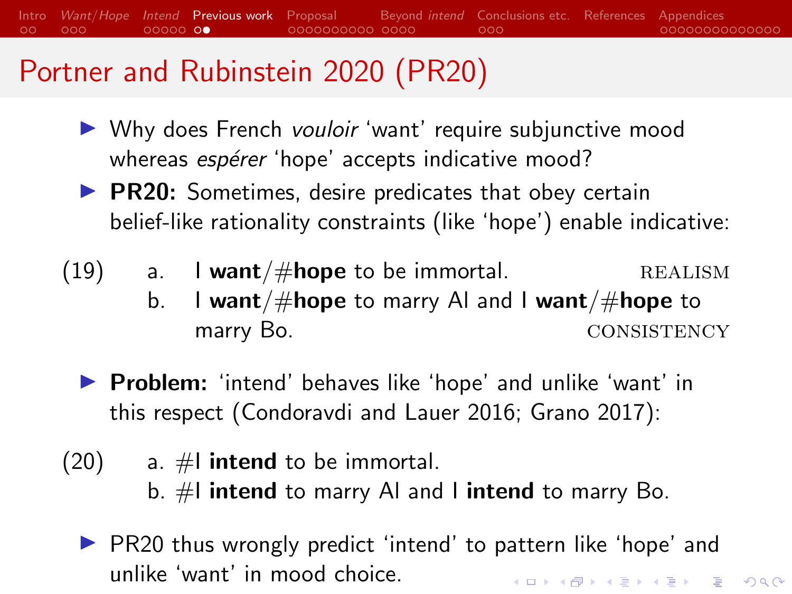## [Portner and Rubinstein 2020](#page-32-1) (PR20)

- ▶ Why does French vouloir 'want' require subjunctive mood whereas *espérer* 'hope' accepts indicative mood?
- $\triangleright$  PR20: Sometimes, desire predicates that obey certain belief-like rationality constraints (like 'hope') enable indicative:
- (19) a. **I want**/ $\#$ **hope** to be immortal. REALISM
	- b. I want/ $\#$ hope to marry AI and I want/ $\#$ hope to marry Bo. CONSISTENCY
	- **Problem:** 'intend' behaves like 'hope' and unlike 'want' in this respect [\(Condoravdi and Lauer 2016;](#page-30-2) [Grano 2017\)](#page-30-3):
- $(20)$  a.  $\#$ **l intend** to be immortal. b.  $#$ I intend to marry AI and I intend to marry Bo.
	- $\triangleright$  PR20 thus wrongly predict 'intend' to pattern like 'hope' and unlike 'want' in mood choice.**KORKARYKERKER POLO**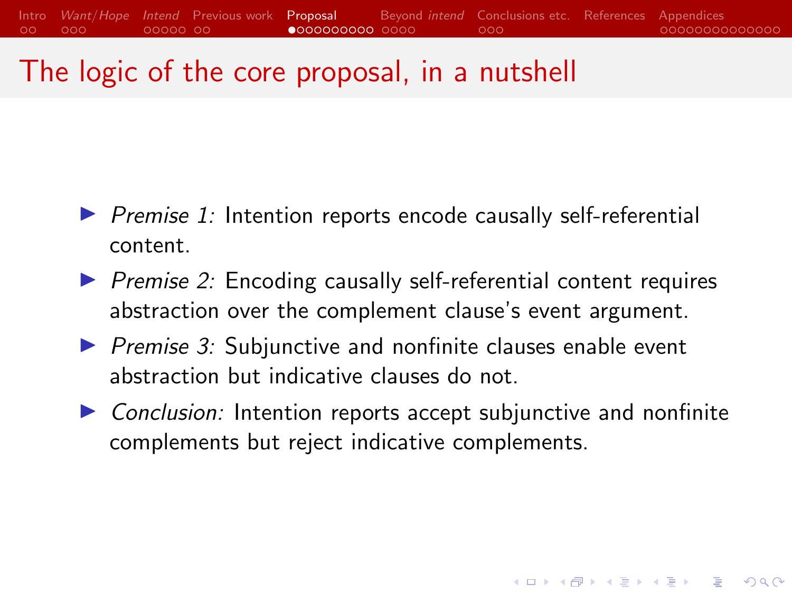## <span id="page-13-0"></span>The logic of the core proposal, in a nutshell

- $\triangleright$  Premise 1: Intention reports encode causally self-referential content.
- $\triangleright$  Premise 2: Encoding causally self-referential content requires abstraction over the complement clause's event argument.
- $\triangleright$  Premise 3: Subjunctive and nonfinite clauses enable event abstraction but indicative clauses do not.
- $\triangleright$  Conclusion: Intention reports accept subjunctive and nonfinite complements but reject indicative complements.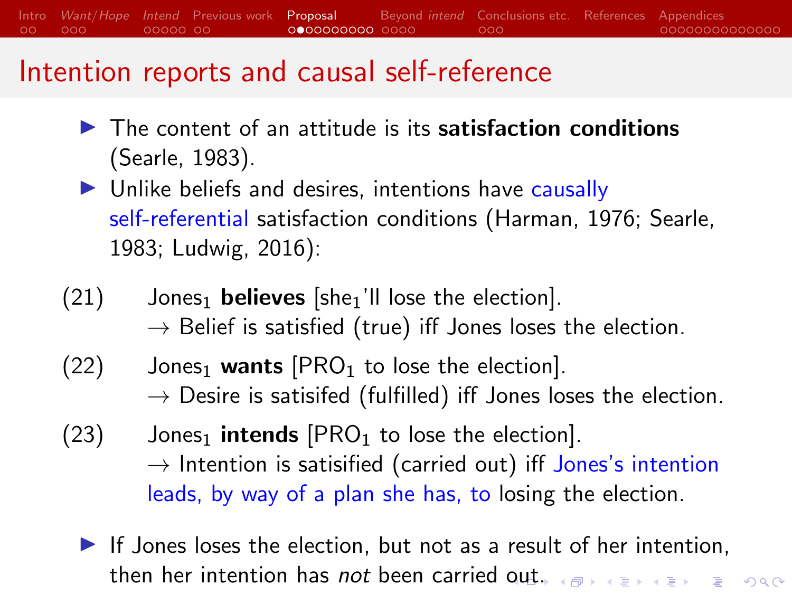[Intro](#page-1-0) [Want](#page-3-0)/Hope [Intend](#page-6-0) [Previous work](#page-11-0) [Proposal](#page-13-0) [Beyond](#page-23-0) intend [Conclusions etc.](#page-27-0) [References](#page-30-0) [Appendices](#page-34-0)  $\circ$ ood  $00000000$  $0$  $000000000$   $0000$  $000$ 00000000000000

#### Intention reports and causal self-reference

- $\blacktriangleright$  The content of an attitude is its satisfaction conditions [\(Searle, 1983\)](#page-33-1).
- $\triangleright$  Unlike beliefs and desires, intentions have causally self-referential satisfaction conditions [\(Harman, 1976;](#page-30-4) [Searle,](#page-33-1) [1983;](#page-33-1) [Ludwig, 2016\)](#page-32-2):
- $(21)$  Jones<sub>1</sub> believes [she<sub>1</sub>'ll lose the election].  $\rightarrow$  Belief is satisfied (true) iff Jones loses the election.
- $(22)$  Jones<sub>1</sub> wants  $[PRO<sub>1</sub>$  to lose the election].  $\rightarrow$  Desire is satisifed (fulfilled) iff Jones loses the election.
- $(23)$  Jones<sub>1</sub> intends  $[PRO<sub>1</sub>$  to lose the election].  $\rightarrow$  Intention is satisified (carried out) iff Jones's intention leads, by way of a plan she has, to losing the election.
	- $\blacktriangleright$  If Jones loses the election, but not as a result of her intention, then her intention has not been carried [ou](#page-13-0)[t.](#page-15-0)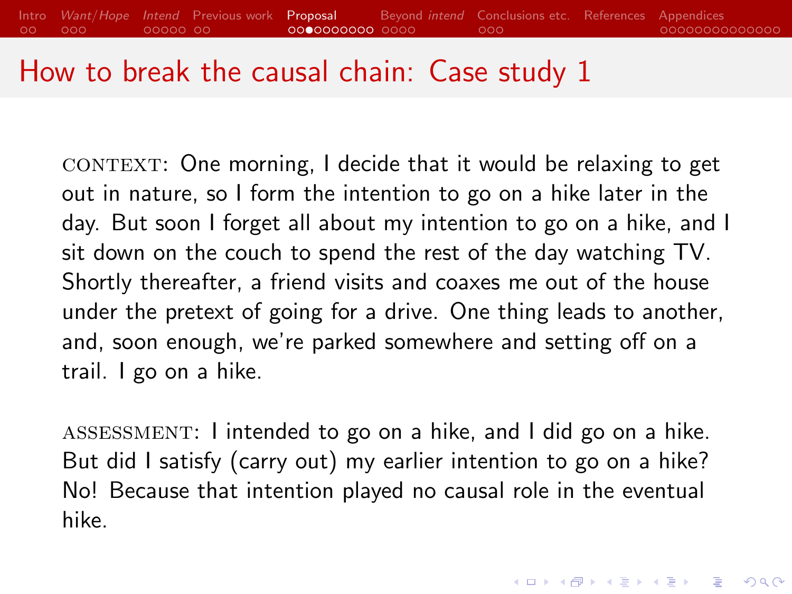#### <span id="page-15-0"></span>How to break the causal chain: Case study 1

CONTEXT: One morning, I decide that it would be relaxing to get out in nature, so I form the intention to go on a hike later in the day. But soon I forget all about my intention to go on a hike, and I sit down on the couch to spend the rest of the day watching TV. Shortly thereafter, a friend visits and coaxes me out of the house under the pretext of going for a drive. One thing leads to another, and, soon enough, we're parked somewhere and setting off on a trail. I go on a hike.

assessment: I intended to go on a hike, and I did go on a hike. But did I satisfy (carry out) my earlier intention to go on a hike? No! Because that intention played no causal role in the eventual hike.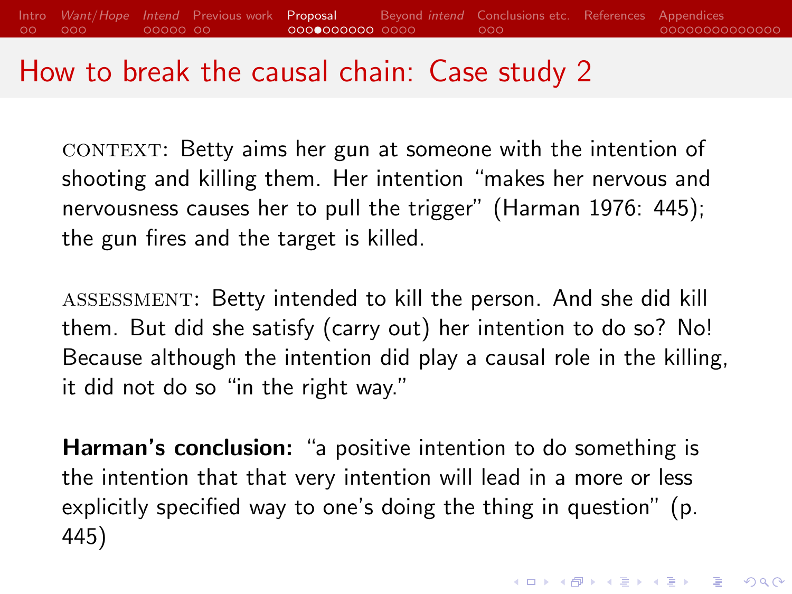#### How to break the causal chain: Case study 2

CONTEXT: Betty aims her gun at someone with the intention of shooting and killing them. Her intention "makes her nervous and nervousness causes her to pull the trigger" [\(Harman 1976:](#page-30-4) 445); the gun fires and the target is killed.

assessment: Betty intended to kill the person. And she did kill them. But did she satisfy (carry out) her intention to do so? No! Because although the intention did play a causal role in the killing, it did not do so "in the right way."

Harman's conclusion: "a positive intention to do something is the intention that that very intention will lead in a more or less explicitly specified way to one's doing the thing in question" (p. 445)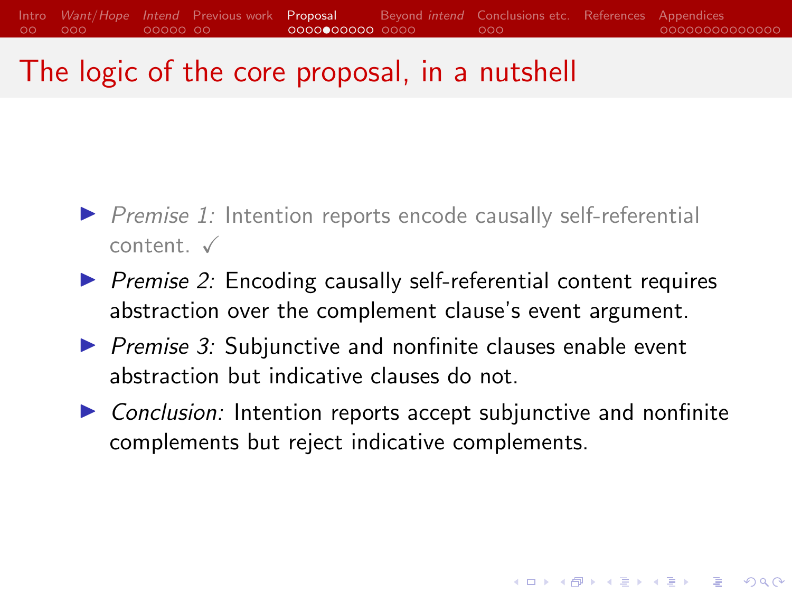## The logic of the core proposal, in a nutshell

- $\triangleright$  Premise 1: Intention reports encode causally self-referential  $content \checkmark$
- $\triangleright$  Premise 2: Encoding causally self-referential content requires abstraction over the complement clause's event argument.
- $\triangleright$  Premise 3: Subjunctive and nonfinite clauses enable event abstraction but indicative clauses do not.
- $\triangleright$  Conclusion: Intention reports accept subjunctive and nonfinite complements but reject indicative complements.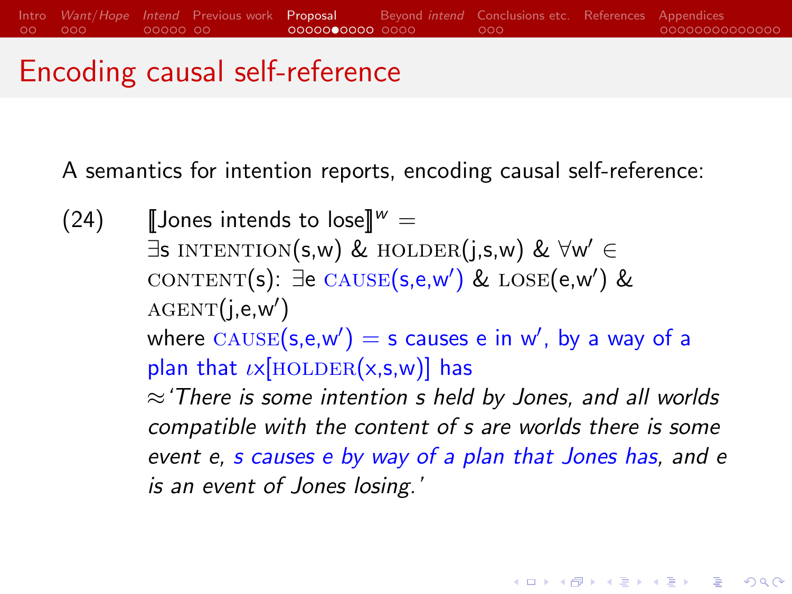## Encoding causal self-reference

A semantics for intention reports, encoding causal self-reference:

(24) **[Jones intends to lose**]  $W =$  $\exists$ s intention(s,w) & holder(j,s,w) &  $\forall w' \in$ content(s): ∃e cause(s,e,w') & lose(e,w') &  $\text{AGENT}(j, e, w')$ where  $\textsc{cause}(\mathsf{s},\mathsf{e},\mathsf{w}') = \mathsf{s}$  causes  $\mathsf{e}$  in  $\mathsf{w}'$ , by a way of a plan that  $\iota \times$ [HOLDER(x,s,w)] has  $\approx$  There is some intention s held by Jones, and all worlds compatible with the content of s are worlds there is some event e, s causes e by way of a plan that Jones has, and e is an event of Jones losing.'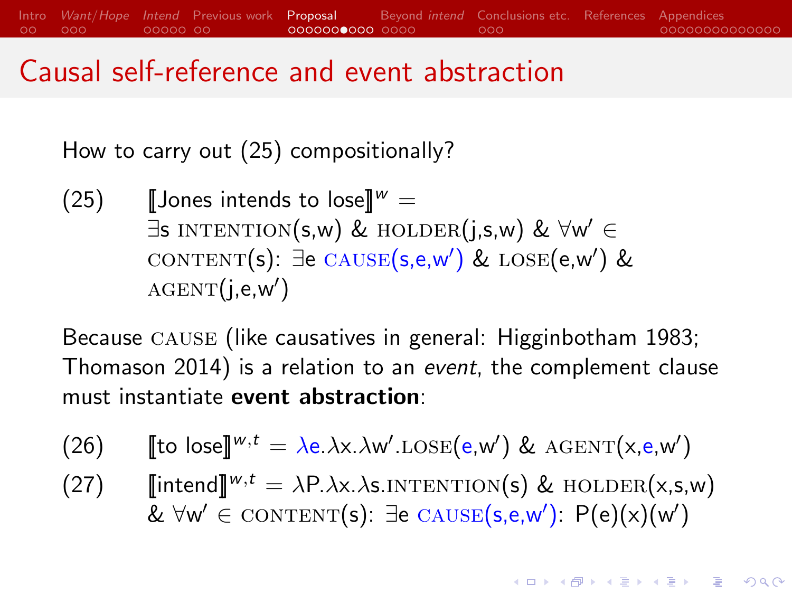#### Causal self-reference and event abstraction

How to carry out (25) compositionally?

(25) **[Jones intends to lose**] $W =$  $\exists$ s intention(s,w) & holder(j,s,w) &  $\forall w' \in$  $\text{CONTENT}(s)$ :  $\exists$ e  $\text{CAUSE}(s, e, w')$  &  $\text{LOSE}(e, w')$  &  $\text{AGENT}(j, e, w')$ 

Because cause (like causatives in general: [Higginbotham 1983;](#page-31-1) [Thomason 2014\)](#page-33-2) is a relation to an event, the complement clause must instantiate event abstraction:

- (26) [to lose]  ${}^{w,t} = \lambda e.\lambda x.\lambda w'.\text{LOSE}(e, w') \& \text{AGENT}(x, e, w')$
- (27)  $\lim_{x \to a} \lim_{x \to b} w(x) = \lambda P \cdot \lambda x \cdot \lambda s$ . INTENTION(s) & HOLDER(x,s,w) & ∀w'  $\in$  content(s): ∃e cause(s,e,w'): P(e)(x)(w')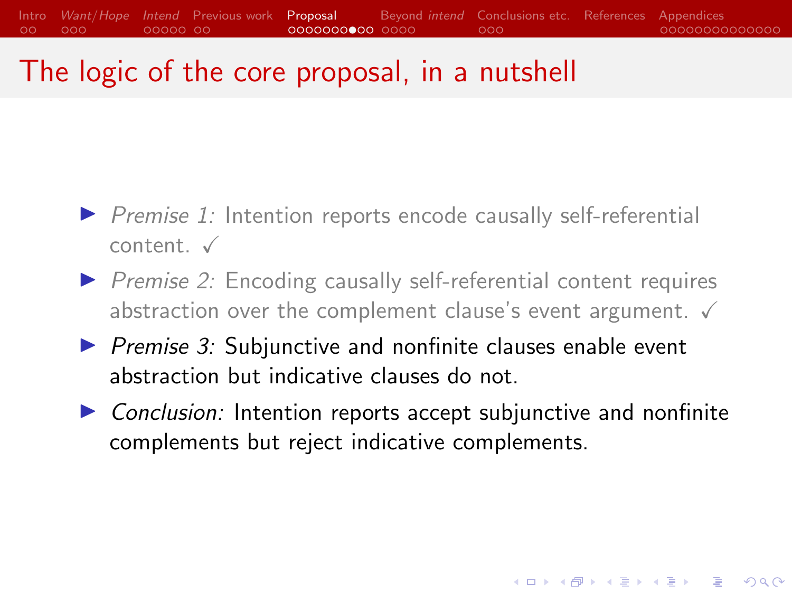## <span id="page-20-0"></span>The logic of the core proposal, in a nutshell

- $\triangleright$  Premise 1: Intention reports encode causally self-referential  $content \checkmark$
- $\triangleright$  Premise 2: Encoding causally self-referential content requires abstraction over the complement clause's event argument.  $\checkmark$
- $\triangleright$  Premise 3: Subjunctive and nonfinite clauses enable event abstraction but indicative clauses do not.
- $\triangleright$  Conclusion: Intention reports accept subjunctive and nonfinite complements but reject indicative complements.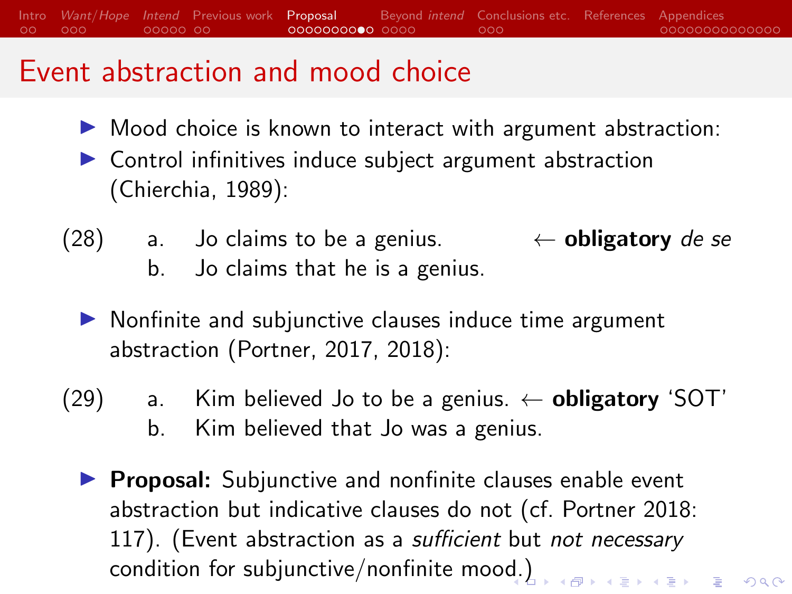[Intro](#page-1-0) [Want](#page-3-0)/Hope [Intend](#page-6-0) [Previous work](#page-11-0) [Proposal](#page-13-0) [Beyond](#page-23-0) intend [Conclusions etc.](#page-27-0) [References](#page-30-0) [Appendices](#page-34-0)  $00000000$ QQQQQQQQ®Q QQQC  $000$ 00000000000000

#### Event abstraction and mood choice

- $\triangleright$  Mood choice is known to interact with argument abstraction:
- $\triangleright$  Control infinitives induce subject argument abstraction [\(Chierchia, 1989\)](#page-30-5):
- (28) a. Jo claims to be a genius.  $\leftarrow$  **obligatory** de se b. Jo claims that he is a genius.
	- $\triangleright$  Nonfinite and subjunctive clauses induce time argument abstraction [\(Portner, 2017,](#page-32-3) [2018\)](#page-32-4):
- (29) a. Kim believed Jo to be a genius.  $\leftarrow$  **obligatory** 'SOT' b. Kim believed that Jo was a genius.
	- $\triangleright$  Proposal: Subjunctive and nonfinite clauses enable event abstraction but indicative clauses do not (cf. [Portner 2018:](#page-32-4) 117). (Event abstraction as a sufficient but not necessary condition for subjunctive/nonfinite mood. All conditions on the second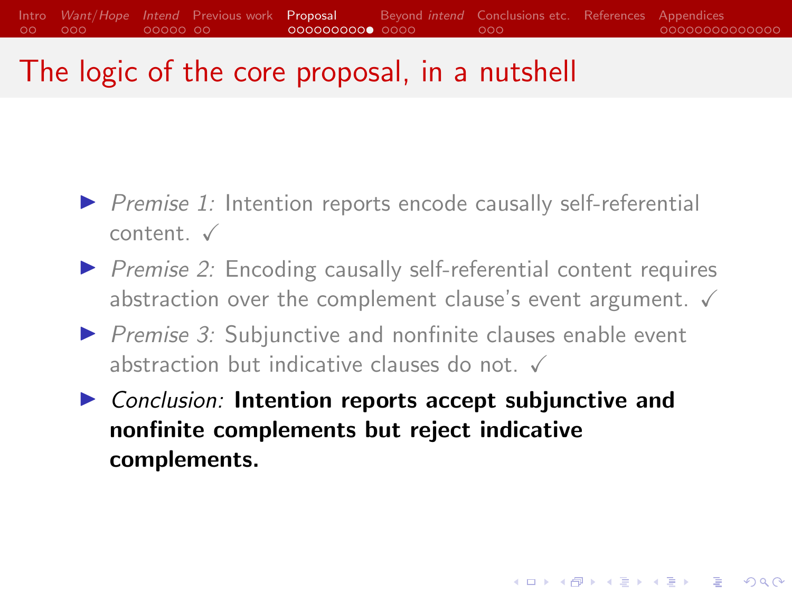## The logic of the core proposal, in a nutshell

- $\triangleright$  Premise 1: Intention reports encode causally self-referential  $content. <sub>x</sub>$
- $\triangleright$  Premise 2: Encoding causally self-referential content requires abstraction over the complement clause's event argument.  $\checkmark$
- $\triangleright$  Premise 3: Subjunctive and nonfinite clauses enable event abstraction but indicative clauses do not.  $\checkmark$
- $\triangleright$  Conclusion: Intention reports accept subjunctive and nonfinite complements but reject indicative complements.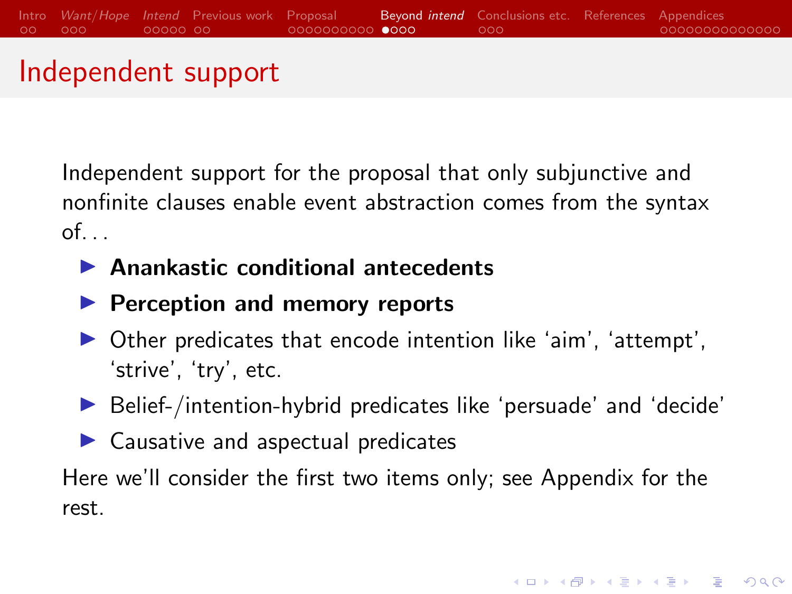#### <span id="page-23-0"></span>Independent support

Independent support for the proposal that only subjunctive and nonfinite clauses enable event abstraction comes from the syntax  $of.$ ..

- $\blacktriangleright$  Anankastic conditional antecedents
- $\blacktriangleright$  Perception and memory reports
- $\triangleright$  Other predicates that encode intention like 'aim', 'attempt', 'strive', 'try', etc.
- $\blacktriangleright$  Belief-/intention-hybrid predicates like 'persuade' and 'decide'
- $\blacktriangleright$  Causative and aspectual predicates

Here we'll consider the first two items only; see Appendix for the rest.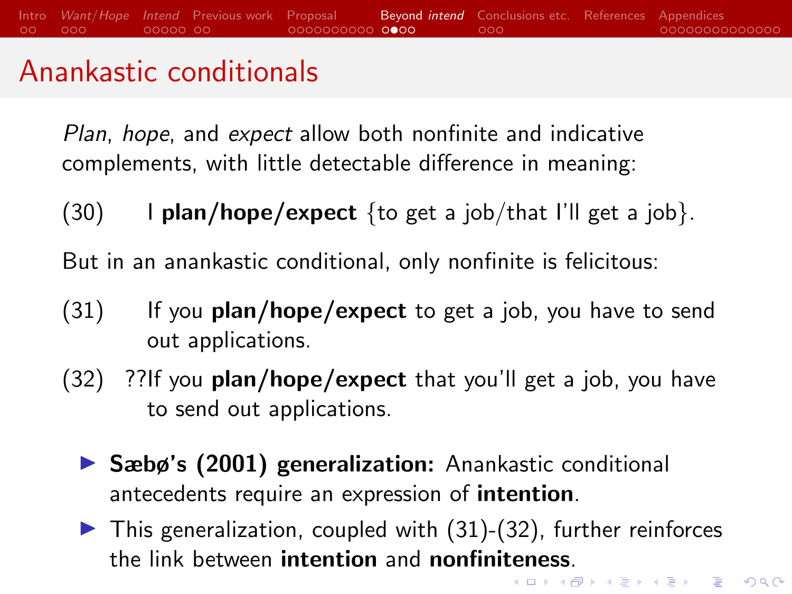## <span id="page-24-0"></span>Anankastic conditionals

Plan, hope, and expect allow both nonfinite and indicative complements, with little detectable difference in meaning:

 $(30)$  I plan/hope/expect {to get a job/that I'll get a job}.

But in an anankastic conditional, only nonfinite is felicitous:

- $(31)$  If you plan/hope/expect to get a job, you have to send out applications.
- $(32)$  ??If you **plan/hope/expect** that you'll get a job, you have to send out applications.
	- $\triangleright$  Sæbø's (2001) generalization: Anankastic conditional antecedents require an expression of intention.
	- $\triangleright$  This generalization, coupled with (31)-(32), further reinforces the link between **in[te](#page-23-0)ntion** and **nonfinite[ne](#page-25-0)[ss](#page-23-0)**[.](#page-24-0)<br>The setting the setting the setting of the setting the setting of the setting the setting of the setting of the setting of the setting of the setting of the setting of the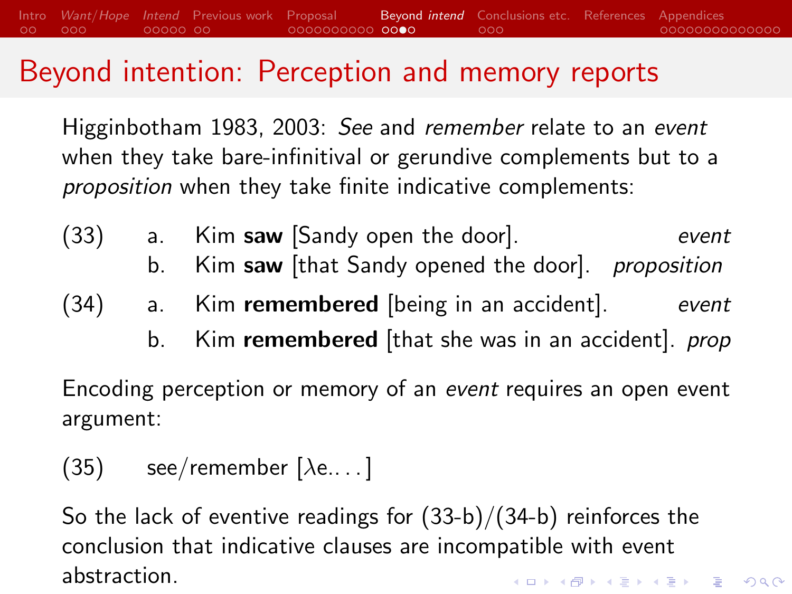#### <span id="page-25-0"></span>Beyond intention: Perception and memory reports

[Higginbotham 1983,](#page-31-1) [2003:](#page-31-2) See and remember relate to an event when they take bare-infinitival or gerundive complements but to a proposition when they take finite indicative complements:

<span id="page-25-1"></span>(33) a. Kim saw [Sandy open the door]. event b. Kim saw [that Sandy opened the door]. *proposition* (34) a. Kim remembered [being in an accident]. event b. Kim remembered [that she was in an accident]. *prop* 

<span id="page-25-2"></span>Encoding perception or memory of an event requires an open event argument:

 $(35)$  see/remember [ $\lambda$ e....]

So the lack of eventive readings for [\(33-b\)/](#page-25-1)[\(34-b\)](#page-25-2) reinforces the conclusion that indicative clauses are incompatible with event abstraction.**KORKARYKERKER POLO**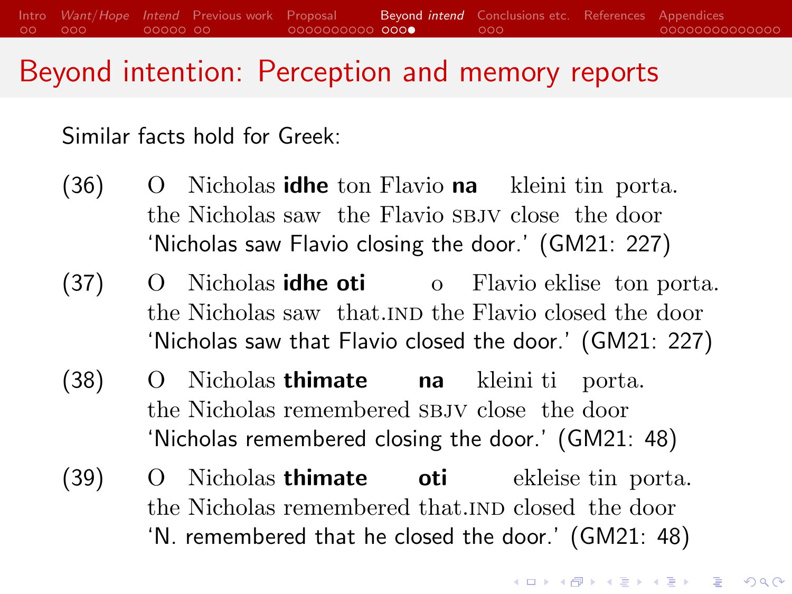#### Beyond intention: Perception and memory reports

Similar facts hold for Greek:

- (36) O the Nicholas saw the Flavio SBJV close the door Nicholas **idhe** ton Flavio na kleini tin porta. 'Nicholas saw Flavio closing the door.' (GM21: 227)
- $(37)$ the Nicholas saw that. IND the Flavio closed the door Nicholas **idhe oti** o Flavio eklise ton porta. 'Nicholas saw that Flavio closed the door.' (GM21: 227)
- $(38)$ the Nicholas remembered SBJV close the door Nicholas thimate na kleini ti porta. 'Nicholas remembered closing the door.' (GM21: 48)
- $(39)$  O the Nicholas remembered that. IND closed the door Nicholas thimate oti ekleise tin porta. 'N. remembered that he closed the door.' (GM21: 48)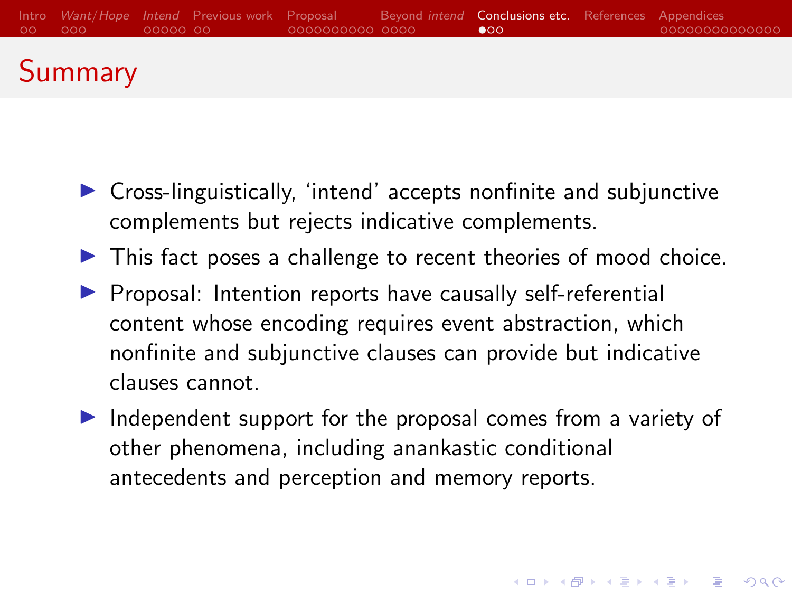<span id="page-27-0"></span>

# **Summary**

- $\triangleright$  Cross-linguistically, 'intend' accepts nonfinite and subjunctive complements but rejects indicative complements.
- $\triangleright$  This fact poses a challenge to recent theories of mood choice.
- $\triangleright$  Proposal: Intention reports have causally self-referential content whose encoding requires event abstraction, which nonfinite and subjunctive clauses can provide but indicative clauses cannot.
- $\triangleright$  Independent support for the proposal comes from a variety of other phenomena, including anankastic conditional antecedents and perception and memory reports.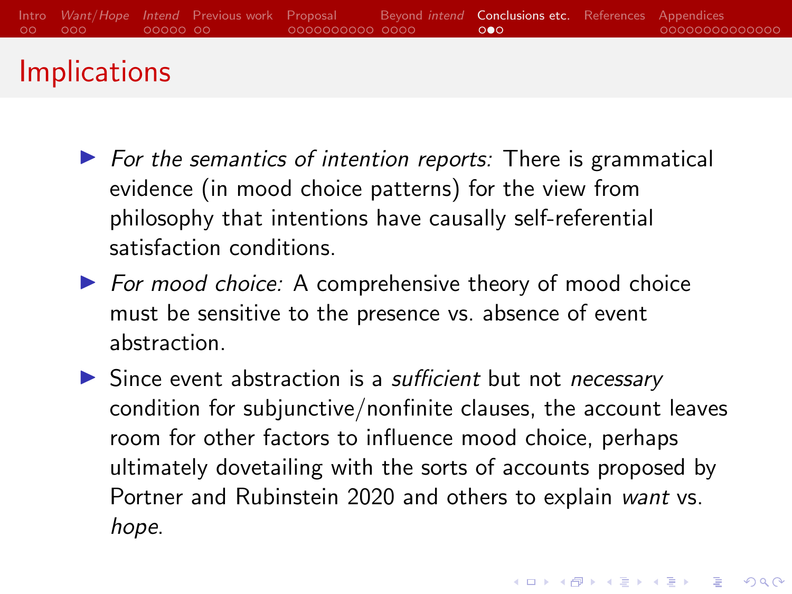## **Implications**

- $\triangleright$  For the semantics of intention reports: There is grammatical evidence (in mood choice patterns) for the view from philosophy that intentions have causally self-referential satisfaction conditions.
- $\triangleright$  For mood choice: A comprehensive theory of mood choice must be sensitive to the presence vs. absence of event abstraction.
- $\triangleright$  Since event abstraction is a *sufficient* but not *necessary* condition for subjunctive/nonfinite clauses, the account leaves room for other factors to influence mood choice, perhaps ultimately dovetailing with the sorts of accounts proposed by Portner and Rubinstein 2020 and others to explain want vs. hope.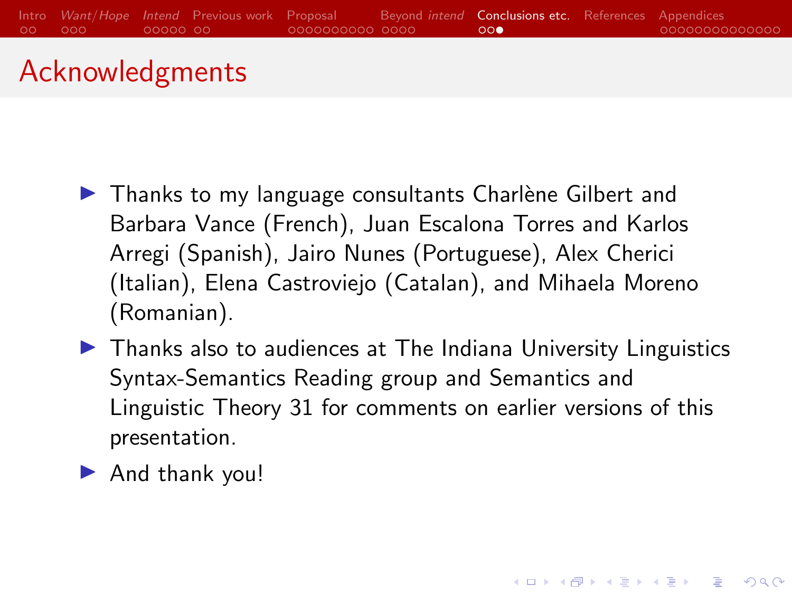

#### Acknowledgments

- $\blacktriangleright$  Thanks to my language consultants Charlène Gilbert and Barbara Vance (French), Juan Escalona Torres and Karlos Arregi (Spanish), Jairo Nunes (Portuguese), Alex Cherici (Italian), Elena Castroviejo (Catalan), and Mihaela Moreno (Romanian).
- $\blacktriangleright$  Thanks also to audiences at The Indiana University Linguistics Syntax-Semantics Reading group and Semantics and Linguistic Theory 31 for comments on earlier versions of this presentation.

**KORKARYKERKER POLO** 

 $\blacktriangleright$  And thank you!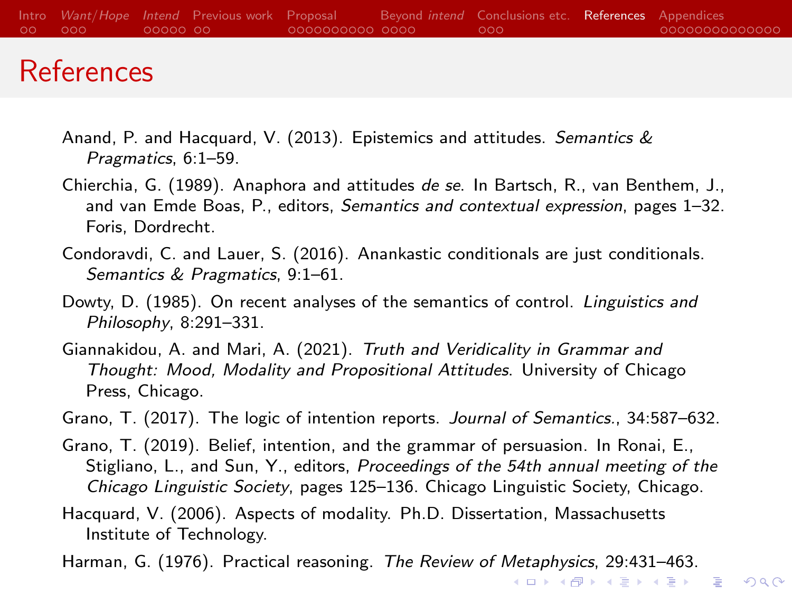#### <span id="page-30-0"></span>References

- <span id="page-30-6"></span>Anand, P. and Hacquard, V. (2013). Epistemics and attitudes. Semantics & Pragmatics, 6:1–59.
- <span id="page-30-5"></span>Chierchia, G. (1989). Anaphora and attitudes de se. In Bartsch, R., van Benthem, J., and van Emde Boas, P., editors, Semantics and contextual expression, pages 1-32. Foris, Dordrecht.
- <span id="page-30-2"></span>Condoravdi, C. and Lauer, S. (2016). Anankastic conditionals are just conditionals. Semantics & Pragmatics, 9:1–61.
- <span id="page-30-8"></span>Dowty, D. (1985). On recent analyses of the semantics of control. Linguistics and Philosophy, 8:291–331.
- <span id="page-30-1"></span>Giannakidou, A. and Mari, A. (2021). Truth and Veridicality in Grammar and Thought: Mood, Modality and Propositional Attitudes. University of Chicago Press, Chicago.

<span id="page-30-3"></span>Grano, T. (2017). The logic of intention reports. Journal of Semantics., 34:587–632.

- <span id="page-30-9"></span>Grano, T. (2019). Belief, intention, and the grammar of persuasion. In Ronai, E., Stigliano, L., and Sun, Y., editors, Proceedings of the 54th annual meeting of the Chicago Linguistic Society, pages 125–136. Chicago Linguistic Society, Chicago.
- <span id="page-30-7"></span>Hacquard, V. (2006). Aspects of modality. Ph.D. Dissertation, Massachusetts Institute of Technology.

<span id="page-30-4"></span>Harman, G. (1976). Practical reasoning. The Review of Metaphysics, 29:431–463.

KO KA KO KERKER KONGK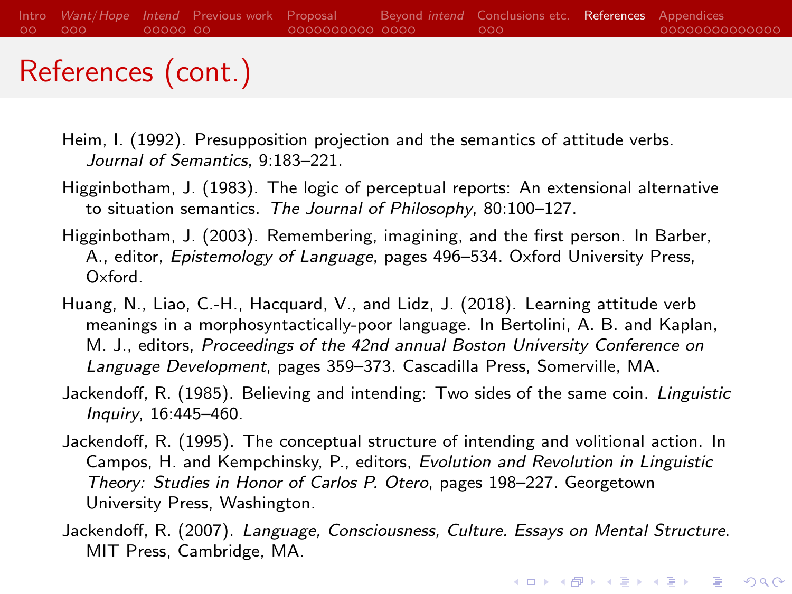## References (cont.)

- <span id="page-31-0"></span>Heim, I. (1992). Presupposition projection and the semantics of attitude verbs. Journal of Semantics, 9:183–221.
- <span id="page-31-1"></span>Higginbotham, J. (1983). The logic of perceptual reports: An extensional alternative to situation semantics. The Journal of Philosophy, 80:100–127.
- <span id="page-31-2"></span>Higginbotham, J. (2003). Remembering, imagining, and the first person. In Barber, A., editor, Epistemology of Language, pages 496–534. Oxford University Press, Oxford.
- Huang, N., Liao, C.-H., Hacquard, V., and Lidz, J. (2018). Learning attitude verb meanings in a morphosyntactically-poor language. In Bertolini, A. B. and Kaplan, M. J., editors, Proceedings of the 42nd annual Boston University Conference on Language Development, pages 359–373. Cascadilla Press, Somerville, MA.
- <span id="page-31-5"></span>Jackendoff, R. (1985). Believing and intending: Two sides of the same coin. Linguistic Inquiry, 16:445–460.
- <span id="page-31-3"></span>Jackendoff, R. (1995). The conceptual structure of intending and volitional action. In Campos, H. and Kempchinsky, P., editors, Evolution and Revolution in Linguistic Theory: Studies in Honor of Carlos P. Otero, pages 198–227. Georgetown University Press, Washington.
- <span id="page-31-4"></span>Jackendoff, R. (2007). Language, Consciousness, Culture. Essays on Mental Structure. MIT Press, Cambridge, MA.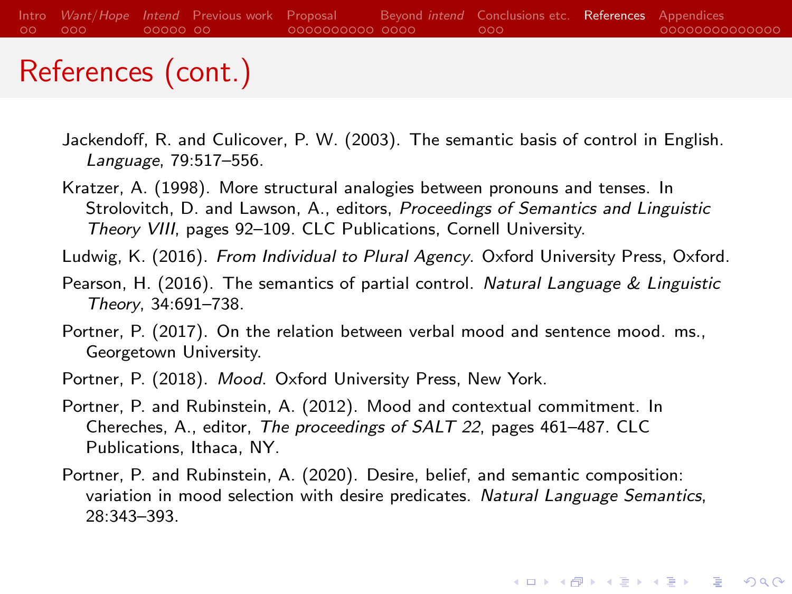## References (cont.)

- <span id="page-32-7"></span>Jackendoff, R. and Culicover, P. W. (2003). The semantic basis of control in English. Language, 79:517–556.
- <span id="page-32-6"></span>Kratzer, A. (1998). More structural analogies between pronouns and tenses. In Strolovitch, D. and Lawson, A., editors, Proceedings of Semantics and Linguistic Theory VIII, pages 92–109. CLC Publications, Cornell University.
- <span id="page-32-2"></span>Ludwig, K. (2016). From Individual to Plural Agency. Oxford University Press, Oxford.
- <span id="page-32-5"></span>Pearson, H. (2016). The semantics of partial control. Natural Language & Linguistic Theory, 34:691–738.
- <span id="page-32-3"></span>Portner, P. (2017). On the relation between verbal mood and sentence mood. ms., Georgetown University.
- <span id="page-32-4"></span>Portner, P. (2018). Mood. Oxford University Press, New York.
- <span id="page-32-0"></span>Portner, P. and Rubinstein, A. (2012). Mood and contextual commitment. In Chereches, A., editor, The proceedings of SALT 22, pages 461–487. CLC Publications, Ithaca, NY.
- <span id="page-32-1"></span>Portner, P. and Rubinstein, A. (2020). Desire, belief, and semantic composition: variation in mood selection with desire predicates. Natural Language Semantics, 28:343–393.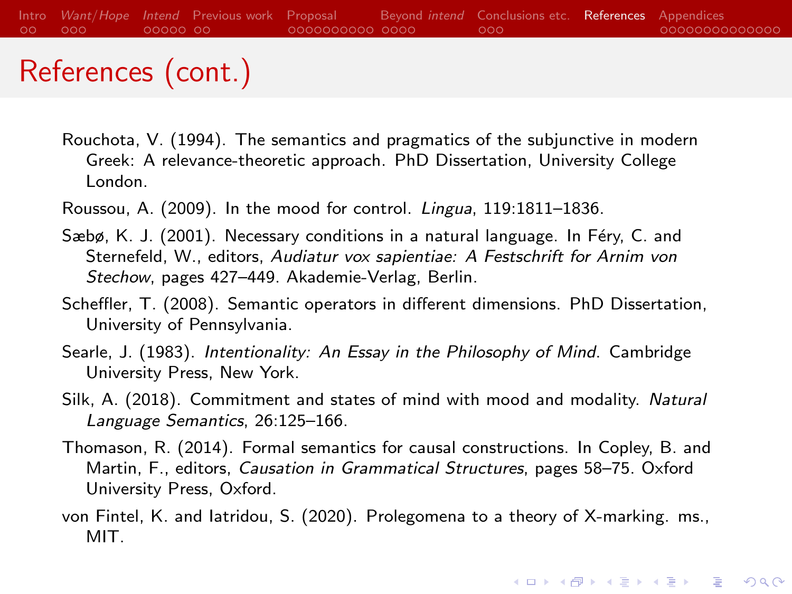## <span id="page-33-4"></span>References (cont.)

- <span id="page-33-5"></span>Rouchota, V. (1994). The semantics and pragmatics of the subjunctive in modern Greek: A relevance-theoretic approach. PhD Dissertation, University College London.
- <span id="page-33-6"></span>Roussou, A. (2009). In the mood for control. Lingua, 119:1811–1836.
- Sæbø, K. J. (2001). Necessary conditions in a natural language. In Féry, C. and Sternefeld, W., editors, Audiatur vox sapientiae: A Festschrift for Arnim von Stechow, pages 427–449. Akademie-Verlag, Berlin.
- <span id="page-33-3"></span>Scheffler, T. (2008). Semantic operators in different dimensions. PhD Dissertation, University of Pennsylvania.
- <span id="page-33-1"></span>Searle, J. (1983). Intentionality: An Essay in the Philosophy of Mind. Cambridge University Press, New York.
- <span id="page-33-0"></span>Silk, A. (2018). Commitment and states of mind with mood and modality. Natural Language Semantics, 26:125–166.
- <span id="page-33-2"></span>Thomason, R. (2014). Formal semantics for causal constructions. In Copley, B. and Martin, F., editors, Causation in Grammatical Structures, pages 58–75. Oxford University Press, Oxford.
- von Fintel, K. and Iatridou, S. (2020). Prolegomena to a theory of X-marking. ms., MIT.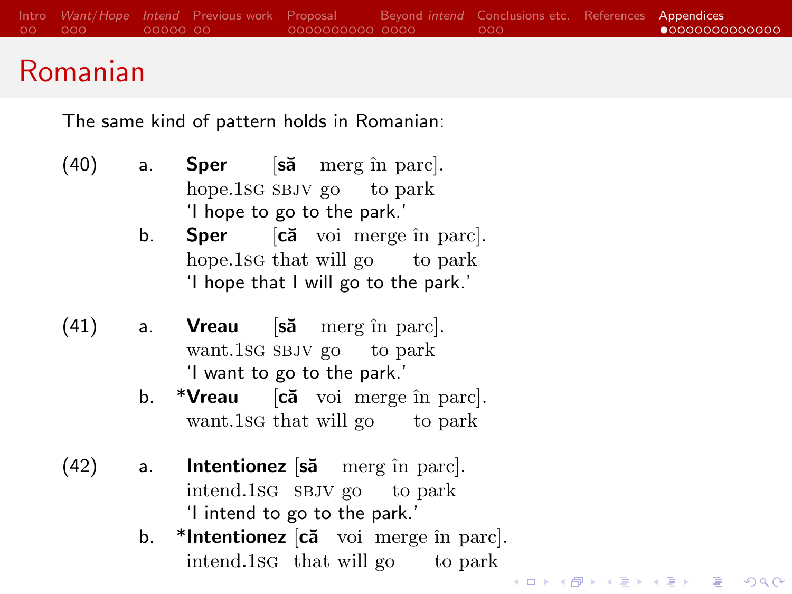#### <span id="page-34-0"></span>Romanian

The same kind of pattern holds in Romanian:

- $(40)$  a. Sper [sa merg în parc]. hope.1sG SBJV go to park 'I hope to go to the park.'
	- b. **Sper** [**ca** voi merge în parc]. hope.1sc that will go to park 'I hope that I will go to the park.'
- $(41)$  a. Vreau [să merg în parc]. want.1sG SBJV go to park 'I want to go to the park.'
	- b. \***Vreau** [**că** voi merge în parc]. want.1sg that will go to park
- $(42)$  a. Intentionez [să merg în parc]. intend.1sg sbjv go to park 'I intend to go to the park.'
	- b. \*Intentionez [că voi merge în parc]. intend.1sg that will go to park

**KORKA SERKER YOUR**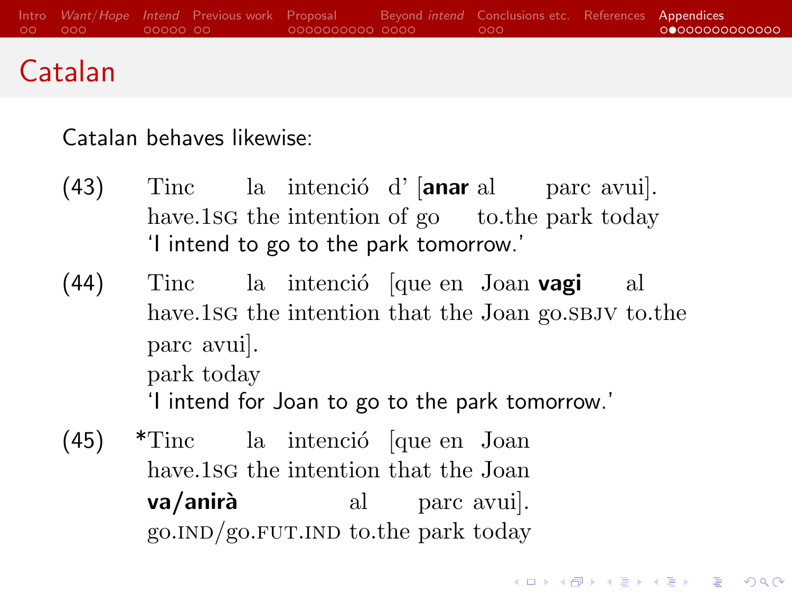## Catalan

Catalan behaves likewise:

- (43) Tinc la intenció d' [anar al parc avui]. have.1sG the intention of go to the park today 'I intend to go to the park tomorrow.'
- (44) Tinc have.1sc the intention that the Joan go.s BJV to.the la intenció [que en Joan **vagi** al parc avui]. park today 'I intend for Joan to go to the park tomorrow.'

**KORKARYKERKER POLO** 

(45) \*Tinc la intenció [que en Joan have.1sG the intention that the Joan va/anirà al parc avui]. go. IND/go. FUT. IND to the park today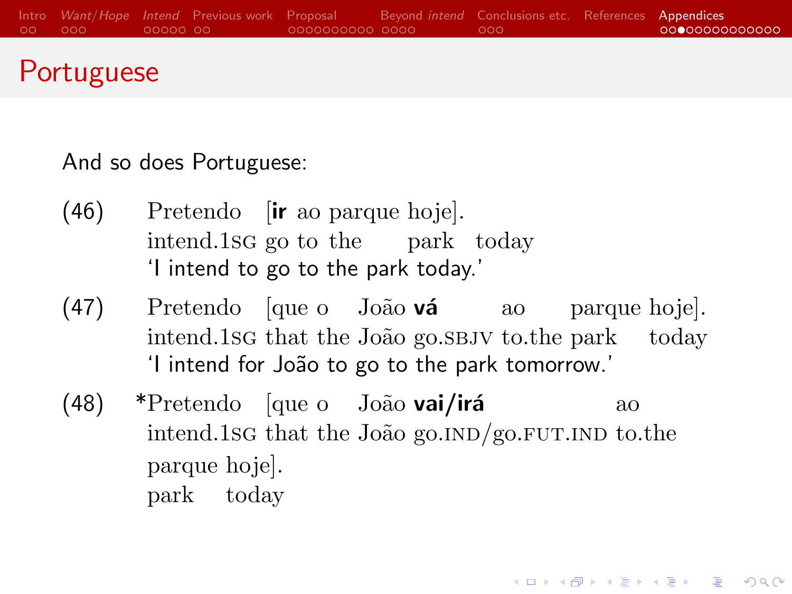#### Portuguese

And so does Portuguese:

- (46) Pretendo [ir ao parque hoje]. intend.1sg go to the park today 'I intend to go to the park today.'
- (47) Pretendo [que o João vá ao parque hoje]. intend.1sG that the João go.SBJV to.the park today 'I intend for Jo˜ao to go to the park tomorrow.'
- (48) \*Pretendo [que o João vai/irá intend.1sg that the João go.IND/go.FUT.IND to.the ao parque hoje]. park today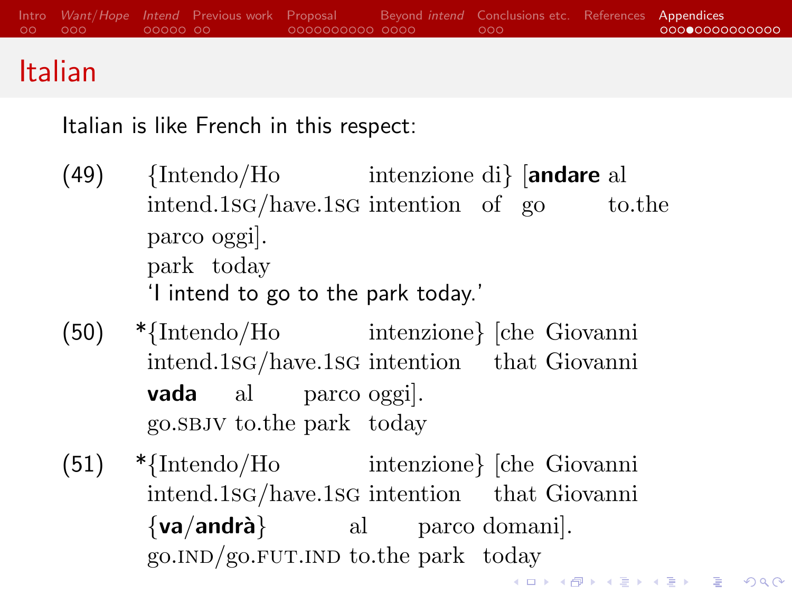## Italian

Italian is like French in this respect:

- (49) {Intendo/Ho intenzione di} [andare al intend.1sg/have.1sg intention of go to.the parco oggi]. park today 'I intend to go to the park today.'
- (50) \*{Intendo/Ho intenzione} [che Giovanni intend.1sg/have.1sg intention that Giovanni vada al parco oggi]. go.sbjv to.the park today
- (51) \*{Intendo/Ho intenzione} [che Giovanni intend.1sg/have.1sg intention that Giovanni  $\{va/and\r{ra}\}\$  al parco domani. go. IND/go. FUT. IND to the park today **KORKAR KERKER E VOOR**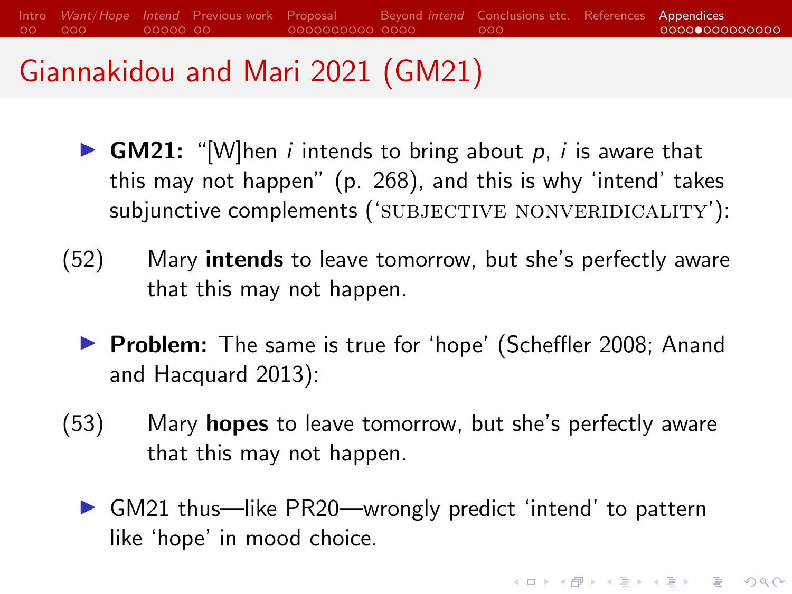[Intro](#page-1-0) [Want](#page-3-0)/Hope [Intend](#page-6-0) [Previous work](#page-11-0) [Proposal](#page-13-0) [Beyond](#page-23-0) intend [Conclusions etc.](#page-27-0) [References](#page-30-0) [Appendices](#page-34-0)  $00000000$ 0000000000 0000  $000$ 00000000000000

## Giannakidou and Mari 2021 (GM21)

- **GM21:** "[W]hen *i* intends to bring about p, *i* is aware that this may not happen" (p. 268), and this is why 'intend' takes subjunctive complements ('SUBJECTIVE NONVERIDICALITY'):
- (52) Mary **intends** to leave tomorrow, but she's perfectly aware that this may not happen.
	- ▶ Problem: The same is true for 'hope' [\(Scheffler 2008;](#page-33-3) [Anand](#page-30-6) [and Hacquard 2013\)](#page-30-6):
- (53) Mary hopes to leave tomorrow, but she's perfectly aware that this may not happen.
	- $\triangleright$  GM21 thus—like PR20—wrongly predict 'intend' to pattern like 'hope' in mood choice.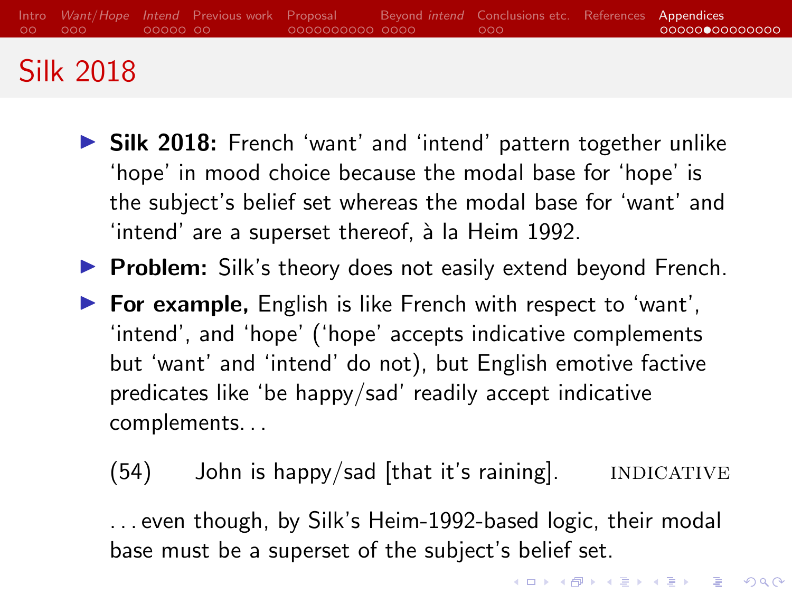## <span id="page-39-0"></span>[Silk 2018](#page-33-0)

- **In [Silk 2018:](#page-33-0)** French 'want' and 'intend' pattern together unlike 'hope' in mood choice because the modal base for 'hope' is the subject's belief set whereas the modal base for 'want' and 'intend' are a superset thereof, à la [Heim 1992.](#page-31-0)
- $\triangleright$  Problem: Silk's theory does not easily extend beyond French.
- $\triangleright$  For example, English is like French with respect to 'want', 'intend', and 'hope' ('hope' accepts indicative complements but 'want' and 'intend' do not), but English emotive factive predicates like 'be happy/sad' readily accept indicative complements. . .
	- $(54)$  John is happy/sad |that it's raining|. INDICATIVE

. . . even though, by Silk's Heim-1992-based logic, their modal base must be a superset of the subject's belief set.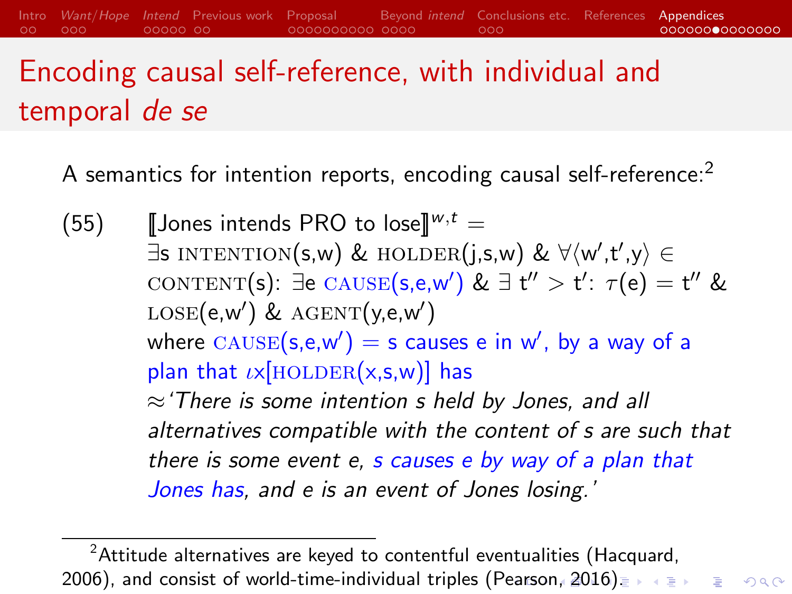Encoding causal self-reference, with individual and temporal de se

 $00000000$ 

<span id="page-40-0"></span>[Intro](#page-1-0) [Want](#page-3-0)/Hope [Intend](#page-6-0) [Previous work](#page-11-0) [Proposal](#page-13-0) [Beyond](#page-23-0) intend [Conclusions etc.](#page-27-0) [References](#page-30-0) [Appendices](#page-34-0)

OOO

00000000000000

A semantics for intention reports, encoding causal self-reference:<sup>2</sup>

(55) **[Jones intends PRO to lose**] $w, t =$  $\exists$ s intention(s,w) & holder(j,s,w) &  $\forall \langle w',t',y \rangle \in$ content(s):  $\exists$ e cause(s,e,w') &  $\exists$  t'' > t':  $\tau$ (e) = t'' &  $\text{LOSE}(\text{e}, \text{w}')$  &  $\text{AGENT}(\text{y}, \text{e}, \text{w}')$ where  $\textsc{cause}(\mathsf{s},\mathsf{e},\mathsf{w}') = \mathsf{s}$  causes  $\mathsf{e}$  in  $\mathsf{w}'$ , by a way of a plan that  $\iota \times$ [HOLDER(x,s,w)] has  $\approx$  There is some intention s held by Jones, and all alternatives compatible with the content of s are such that there is some event e, s causes e by way of a plan that Jones has, and e is an event of Jones losing.'

 $2$ Attitude alternatives are keyed to contentful eventualities [\(Hacquard,](#page-30-7) [2006\)](#page-30-7), and consist of world-time-individual triples [\(Pearson, 2016](#page-32-5)[\).](#page-34-0) In the strate on  $\infty$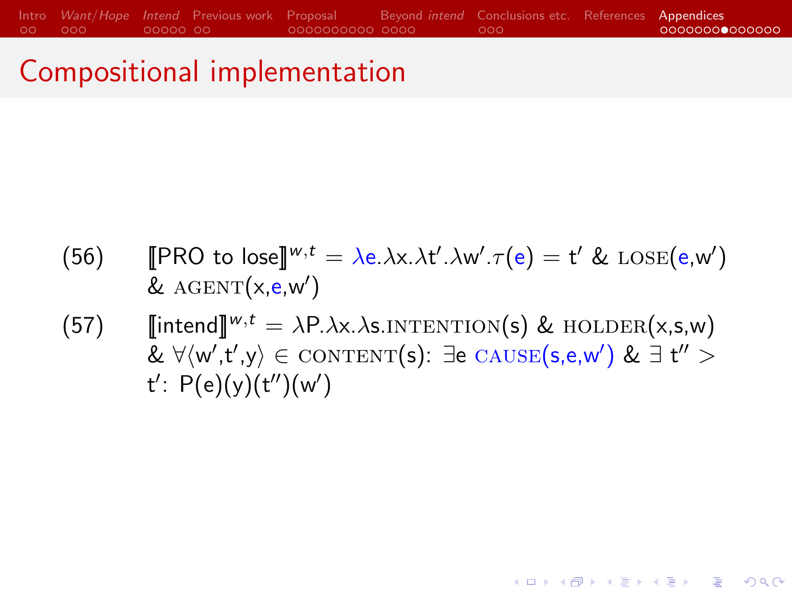#### <span id="page-41-0"></span>Compositional implementation

- (56) [PRO to lose]<sup> $w,t = \lambda e.\lambda x.\lambda t'.\lambda w'.\tau(e) = t' \& \text{LOSE}(e,w')$ </sup> &  $AGENT(x, e, w')$
- (57)  $\[\text{intend}\]^{w,t} = \lambda P.\lambda x.\lambda s.\text{INTENTION}(s) \& \text{HOLDER}(x,s,w)$  $\& \forall \langle w', t', y \rangle \in \text{CONTENT}(s): \exists e \text{ CAUSE}(s, e, w') \& \exists t'' > 0$  $t'$ :  $P(e)(y)(t'')(w')$

**KORK EXTERNE PROVIDE**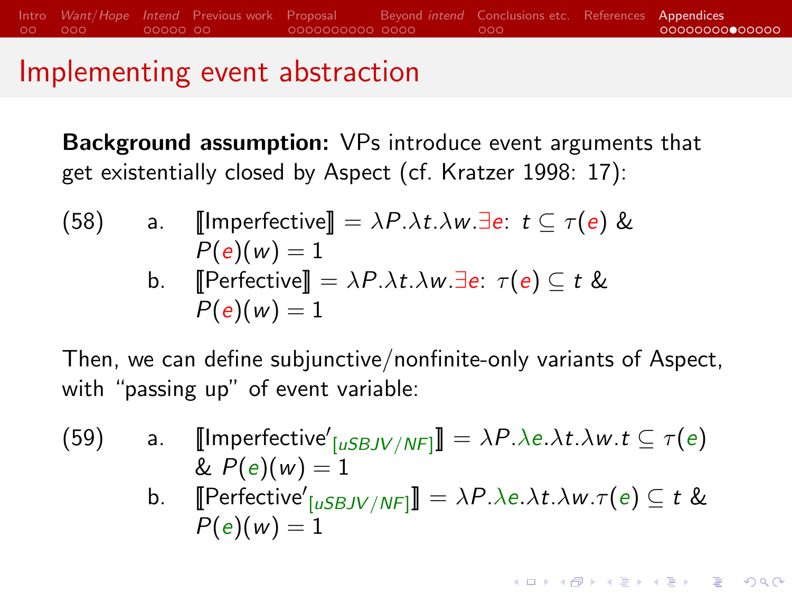#### Implementing event abstraction

Background assumption: VPs introduce event arguments that get existentially closed by Aspect (cf. [Kratzer 1998:](#page-32-6) 17):

(58) a. 
$$
\llbracket \text{Imperfective} \rrbracket = \lambda P. \lambda t. \lambda w. \exists e: t \subseteq \tau(e) \& P(e)(w) = 1
$$
  
b. 
$$
\llbracket \text{Perfective} \rrbracket = \lambda P. \lambda t. \lambda w. \exists e: \tau(e) \subseteq t \& P(e)(w) = 1
$$

Then, we can define subjunctive/nonfinite-only variants of Aspect, with "passing up" of event variable:

- (59) a.  $\llbracket$ Imperfective'<sub>[uSBJV/NF]</sub>] =  $\lambda P.\lambda e.\lambda t.\lambda w.t \subseteq \tau(e)$ &  $P(e)(w) = 1$ 
	- b. [Perfective'<sub>[uSBJV/NF]</sub>] =  $\lambda P.\lambda e.\lambda t.\lambda w.\tau(e) \subseteq t$  &  $P(e)(w) = 1$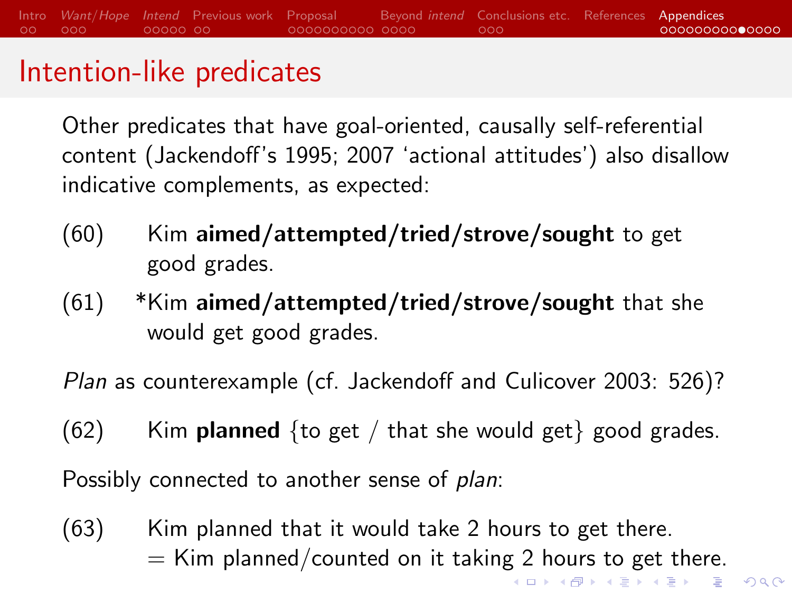#### Intention-like predicates

Other predicates that have goal-oriented, causally self-referential content (Jackendoff's [1995;](#page-31-3) [2007](#page-31-4) 'actional attitudes') also disallow indicative complements, as expected:

- $(60)$  Kim aimed/attempted/tried/strove/sought to get good grades.
- $(61)$  \*Kim aimed/attempted/tried/strove/sought that she would get good grades.

Plan as counterexample (cf. [Jackendoff and Culicover 2003:](#page-32-7) 526)?

 $(62)$  Kim **planned** {to get / that she would get} good grades.

Possibly connected to another sense of *plan*:

(63) Kim planned that it would take 2 hours to get there.  $=$  Kim planned/counted on it taking 2 hours to get there. K ロ > K 個 > K 로 > K 로 > - 로 - K Q Q Q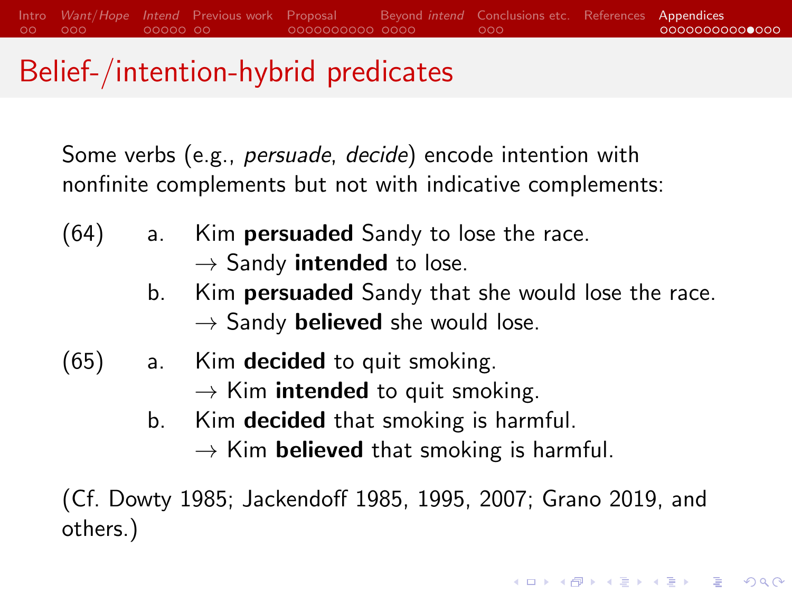## Belief-/intention-hybrid predicates

Some verbs (e.g., persuade, decide) encode intention with nonfinite complements but not with indicative complements:

- $(64)$  a. Kim **persuaded** Sandy to lose the race.
	- $\rightarrow$  Sandy **intended** to lose.
	- b. Kim **persuaded** Sandy that she would lose the race.  $\rightarrow$  Sandy **believed** she would lose.
- $(65)$  a. Kim **decided** to quit smoking.
	- $\rightarrow$  Kim **intended** to quit smoking.
	- b. Kim **decided** that smoking is harmful.
		- $\rightarrow$  Kim **believed** that smoking is harmful.

**KORKARYKERKER POLO** 

(Cf. [Dowty 1985;](#page-30-8) [Jackendoff 1985,](#page-31-5) [1995,](#page-31-3) [2007;](#page-31-4) [Grano 2019,](#page-30-9) and others.)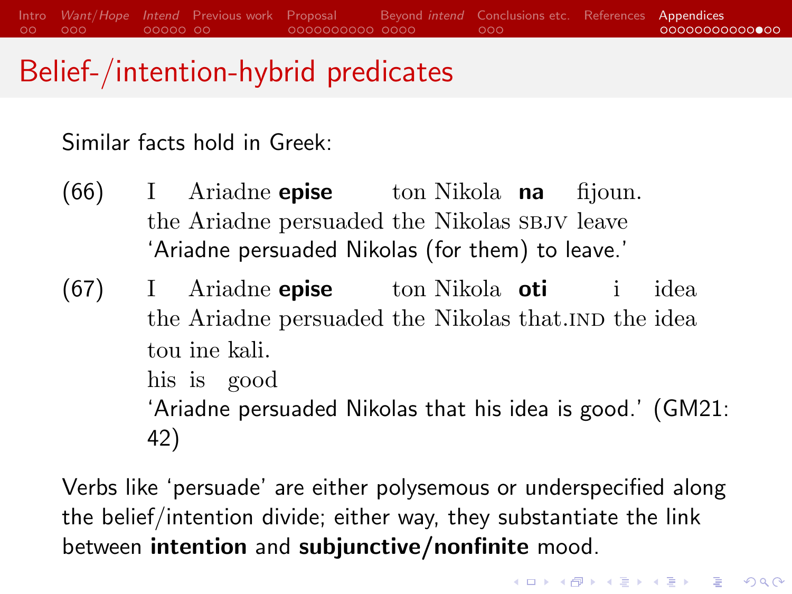[Intro](#page-1-0) [Want](#page-3-0)/Hope [Intend](#page-6-0) [Previous work](#page-11-0) [Proposal](#page-13-0) [Beyond](#page-23-0) intend [Conclusions etc.](#page-27-0) [References](#page-30-0) [Appendices](#page-34-0)  $\circ$ OOO  $00000000$ 0000000000 0000  $000$  $000000000000$ 

## Belief-/intention-hybrid predicates

Similar facts hold in Greek:

- $(66)$ the Ariadne persuaded the Nikolas SBJV leave Ariadne **epise** ton Nikola na fijoun. 'Ariadne persuaded Nikolas (for them) to leave.'
- (67) I the Ariadne persuaded the Nikolas that. IND the idea Ariadne **epise** ton Nikola oti i idea tou ine kali. his is good 'Ariadne persuaded Nikolas that his idea is good.' (GM21:

42)

Verbs like 'persuade' are either polysemous or underspecified along the belief/intention divide; either way, they substantiate the link between intention and subjunctive/nonfinite mood.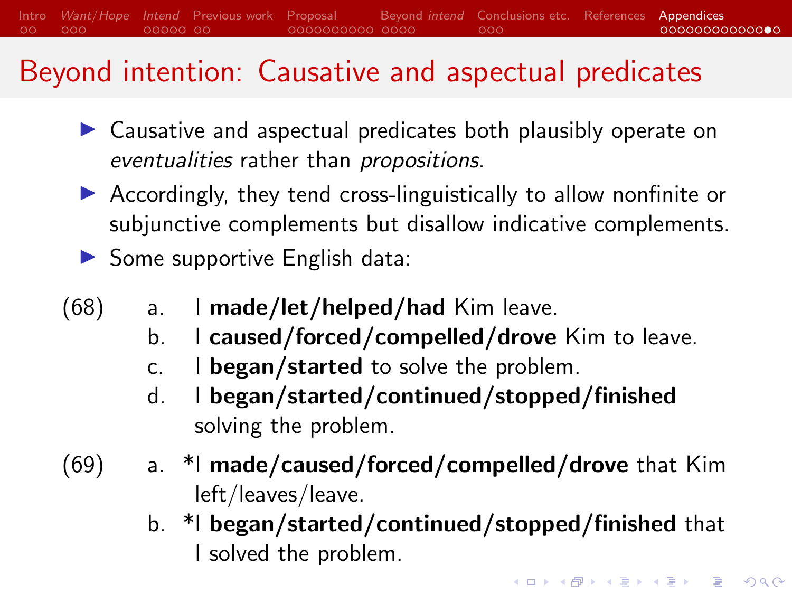## Beyond intention: Causative and aspectual predicates

- $\triangleright$  Causative and aspectual predicates both plausibly operate on eventualities rather than propositions.
- $\triangleright$  Accordingly, they tend cross-linguistically to allow nonfinite or subjunctive complements but disallow indicative complements.
- $\triangleright$  Some supportive English data:
- $(68)$  a. I made/let/helped/had Kim leave.
	- b. I caused/forced/compelled/drove Kim to leave.
	- c. I began/started to solve the problem.
	- d. I began/started/continued/stopped/finished solving the problem.
- $(69)$  a. \*I made/caused/forced/compelled/drove that Kim left/leaves/leave.
	- b. \*I began/started/continued/stopped/finished that I solved the problem.

**KORKAR KERKER SAGA**